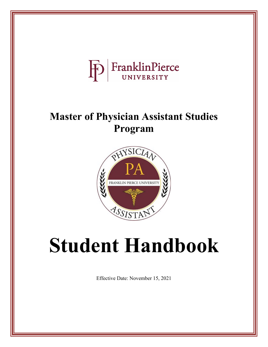

# **Master of Physician Assistant Studies Program**



# **Student Handbook**

Effective Date: November 15, 2021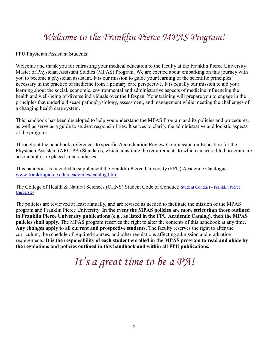# <span id="page-1-0"></span>*Welcome to the Franklin Pierce MPAS Program!*

FPU Physician Assistant Students:

Welcome and thank you for entrusting your medical education to the faculty at the Franklin Pierce University Master of Physician Assistant Studies (MPAS) Program. We are excited about embarking on this journey with you to become a physician assistant. It is our mission to guide your learning of the scientific principles necessary in the practice of medicine from a primary care perspective. It is equally our mission to aid your learning about the social, economic, environmental and administrative aspects of medicine influencing the health and well-being of diverse individuals over the lifespan. Your training will prepare you to engage in the principles that underlie disease pathophysiology, assessment, and management while meeting the challenges of a changing health care system.

This handbook has been developed to help you understand the MPAS Program and its policies and procedures, as well as serve as a guide to student responsibilities. It serves to clarify the administrative and logistic aspects of the program.

Throughout the handbook, references to specific Accreditation Review Commission on Education for the Physician Assistant (ARC-PA) Standards, which constitute the requirements to which an accredited program are accountable, are placed in parentheses.

This handbook is intended to supplement the Franklin Pierce University (FPU) Academic Catalogue: [www.franklinpierce.edu/academics/catalog.html](http://www.franklinpierce.edu/academics/catalog.html)

The College of Health & Natural Sciences (CHNS) Student Code of Conduct: [Student Conduct - Franklin Pierce](https://www.franklinpierce.edu/student-experience/student-affairs/conduct/index.html)  **[University](https://www.franklinpierce.edu/student-experience/student-affairs/conduct/index.html)** 

The policies are reviewed at least annually, and are revised as needed to facilitate the mission of the MPAS program and Franklin Pierce University. **In the event the MPAS policies are more strict than those outlined in Franklin Pierce University publications (e.g., as listed in the FPU Academic Catalog), then the MPAS policies shall apply.** The MPAS program reserves the right to alter the contents of this handbook at any time. **Any changes apply to all current and prospective students.** The faculty reserves the right to alter the curriculum, the schedule of required courses, and other regulations affecting admission and graduation requirements. **It is the responsibility of each student enrolled in the MPAS program to read and abide by the regulations and policies outlined in this handbook and within all FPU publications.** 

# *It's a great time to be a PA!*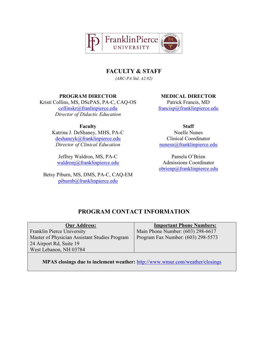

**FACULTY & STAFF**

*(ARC-PA Std. A2.02)*

#### **PROGRAM DIRECTOR MEDICAL DIRECTOR**

<span id="page-2-0"></span>Kristi Collins, MS, DScPAS, PA-C, CAQ-OS [collinskr@franlinpierce.edu](mailto:collinskr@franlinpierce.edu)  *Director of Didactic Education*

**Faculty**

Katrina J. DeShaney, MHS, PA-C [deshaneyk@franklinpierce.edu](mailto:deshaneyk@franklinpierce.edu)  *Director of Clinical Education*

Jeffrey Waldron, MS, PA-C [waldronj@franklinpierce.edu](mailto:waldronj@franklinpierce.edu)

Betsy Piburn, MS, DMS, PA-C, CAQ-EM [piburnb@franklinpierce.edu](mailto:piburnb@franklinpierce.edu)

Patrick Francis, MD [francisp@franklinpierce.edu](mailto:francisp@franklinpierce.edu)

**Staff** Noelle Nunes Clinical Coordinator nunesn@franklinpierce.edu

Pamela O'Brien Admissions Coordinator [obrienp@franklinpierce.edu](mailto:obrienp@franklinpierce.edu)

# **PROGRAM CONTACT INFORMATION**

| <b>Our Address:</b>                           | <b>Important Phone Numbers:</b>    |
|-----------------------------------------------|------------------------------------|
| Franklin Pierce University                    | Main Phone Number: (603) 298-6617  |
| Master of Physician Assistant Studies Program | Program Fax Number: (603) 298-5573 |
| 24 Airport Rd, Suite 19                       |                                    |
| West Lebanon, NH 03784                        |                                    |
|                                               |                                    |

**MPAS closings due to inclement weather:** <http://www.wmur.com/weather/closings>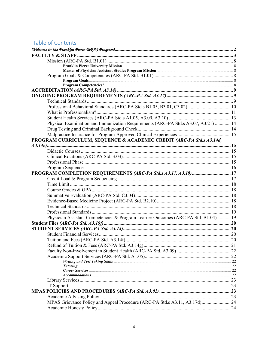# Table of Contents

| Professional Behavioral Standards (ARC-PA Std.s B1.05, B3.01, C3.02)  10           |  |
|------------------------------------------------------------------------------------|--|
|                                                                                    |  |
|                                                                                    |  |
| Physical Examination and Immunization Requirements (ARC-PA Std.s A3.07, A3.21)  14 |  |
|                                                                                    |  |
|                                                                                    |  |
| PROGRAM CURRICULUM, SEQUENCE & ACADEMIC CREDIT (ARC-PA Std.s A3.14d,               |  |
|                                                                                    |  |
|                                                                                    |  |
|                                                                                    |  |
|                                                                                    |  |
|                                                                                    |  |
| PROGRAM COMPLETION REQUIREMENTS (ARC-PA Std.s A3.17, A3.19) 17                     |  |
|                                                                                    |  |
|                                                                                    |  |
|                                                                                    |  |
|                                                                                    |  |
|                                                                                    |  |
|                                                                                    |  |
|                                                                                    |  |
|                                                                                    |  |
| Physician Assistant Competencies & Program Learner Outcomes (ARC-PA Std. B1.04)19  |  |
|                                                                                    |  |
|                                                                                    |  |
|                                                                                    |  |
|                                                                                    |  |
|                                                                                    |  |
|                                                                                    |  |
|                                                                                    |  |
|                                                                                    |  |
|                                                                                    |  |
|                                                                                    |  |
|                                                                                    |  |
|                                                                                    |  |
|                                                                                    |  |
|                                                                                    |  |
| MPAS Grievance Policy and Appeal Procedure (ARC-PA Std.s A3.11, A3.17d) 24         |  |
|                                                                                    |  |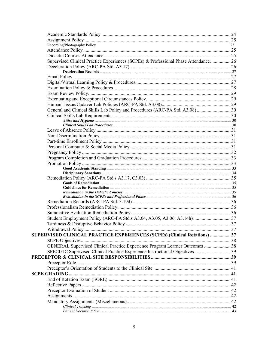| Recording/Photography Policy                                                       | 25 |
|------------------------------------------------------------------------------------|----|
|                                                                                    |    |
|                                                                                    |    |
| Supervised Clinical Practice Experiences (SCPEs) & Professional Phase Attendance26 |    |
|                                                                                    |    |
|                                                                                    |    |
|                                                                                    |    |
|                                                                                    |    |
|                                                                                    |    |
|                                                                                    |    |
|                                                                                    |    |
|                                                                                    |    |
| General and Clinical Skills Lab Policy and Procedures (ARC-PA Std. A3.08)30        |    |
|                                                                                    |    |
|                                                                                    |    |
|                                                                                    |    |
|                                                                                    |    |
|                                                                                    |    |
|                                                                                    |    |
|                                                                                    |    |
|                                                                                    |    |
|                                                                                    |    |
|                                                                                    |    |
|                                                                                    |    |
|                                                                                    |    |
|                                                                                    |    |
|                                                                                    |    |
|                                                                                    |    |
|                                                                                    |    |
|                                                                                    |    |
|                                                                                    |    |
|                                                                                    |    |
|                                                                                    |    |
|                                                                                    |    |
|                                                                                    |    |
| SUPERVISED CLINICAL PRACTICE EXPERIENCES (SCPEs) (Clinical Rotations) 37           |    |
|                                                                                    |    |
| GENERAL Supervised Clinical Practice Experience Program Learner Outcomes  38       |    |
| SPECIFIC Supervised Clinical Practice Experience Instructional Objectives 39       |    |
|                                                                                    |    |
|                                                                                    |    |
|                                                                                    |    |
|                                                                                    |    |
|                                                                                    |    |
|                                                                                    |    |
|                                                                                    |    |
|                                                                                    |    |
|                                                                                    |    |
|                                                                                    |    |
|                                                                                    |    |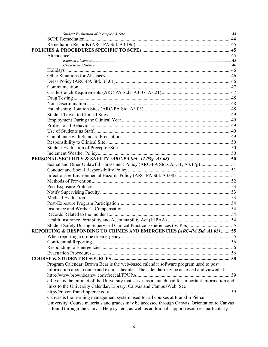| Sexual and Other Unlawful Harassment Policy (ARC-PA Std.s A3.11, A3.17g) 51                        |  |
|----------------------------------------------------------------------------------------------------|--|
|                                                                                                    |  |
|                                                                                                    |  |
|                                                                                                    |  |
|                                                                                                    |  |
|                                                                                                    |  |
|                                                                                                    |  |
|                                                                                                    |  |
|                                                                                                    |  |
|                                                                                                    |  |
|                                                                                                    |  |
|                                                                                                    |  |
| Student Safety During Supervised Clinical Practice Experiences (SCPEs) 55                          |  |
| REPORTING & RESPONDING TO CRIMES AND EMERGENCIES (ARC-PA Std. A1.03) 55                            |  |
|                                                                                                    |  |
|                                                                                                    |  |
|                                                                                                    |  |
|                                                                                                    |  |
|                                                                                                    |  |
| Program Calendar: Brown Bear is the web-based calendar software program used to post               |  |
| information about course and exam schedules. The calendar may be accessed and viewed at:           |  |
|                                                                                                    |  |
| eRaven is the intranet of the University that serves as a launch pad for important information and |  |
| links to the University Calendar, Library, Canvas and CampusWeb. See                               |  |
|                                                                                                    |  |
| Canvas is the learning management system used for all courses at Franklin Pierce                   |  |
| University. Course materials and grades may be accessed through Canvas. Orientation to Canvas      |  |
| is found through the Canvas Help system, as well as additional support resources, particularly     |  |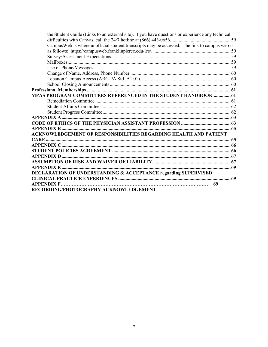| the Student Guide (Links to an external site). If you have questions or experience any technical |  |
|--------------------------------------------------------------------------------------------------|--|
|                                                                                                  |  |
| Campus Web is where unofficial student transcripts may be accessed. The link to campus web is    |  |
|                                                                                                  |  |
|                                                                                                  |  |
|                                                                                                  |  |
|                                                                                                  |  |
|                                                                                                  |  |
|                                                                                                  |  |
|                                                                                                  |  |
|                                                                                                  |  |
| MPAS PROGRAM COMMITTEES REFERENCED IN THE STUDENT HANDBOOK  61                                   |  |
|                                                                                                  |  |
|                                                                                                  |  |
|                                                                                                  |  |
|                                                                                                  |  |
|                                                                                                  |  |
|                                                                                                  |  |
| <b>ACKNOWLEDGEMENT OF RESPONSIBILITIES REGARDING HEALTH AND PATIENT</b>                          |  |
|                                                                                                  |  |
|                                                                                                  |  |
|                                                                                                  |  |
|                                                                                                  |  |
|                                                                                                  |  |
|                                                                                                  |  |
| <b>DECLARATION OF UNDERSTANDING &amp; ACCEPTANCE regarding SUPERVISED</b>                        |  |
|                                                                                                  |  |
| <b>APPENDIX F.</b>                                                                               |  |
| RECORDING/PHOTOGRAPHY ACKNOWLEDGEMENT                                                            |  |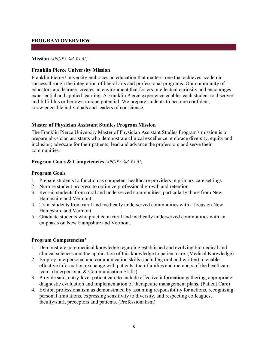#### **PROGRAM OVERVIEW**

#### <span id="page-7-0"></span>**Mission** *(ARC-PA Std. B1.01)*

#### <span id="page-7-1"></span>**Franklin Pierce University Mission**

Franklin Pierce University embraces an education that matters: one that achieves academic success through the integration of liberal arts and professional programs. Our community of educators and learners creates an environment that fosters intellectual curiosity and encourages experiential and applied learning. A Franklin Pierce experience enables each student to discover and fulfill his or her own unique potential. We prepare students to become confident, knowledgeable individuals and leaders of conscience.

#### <span id="page-7-2"></span>**Master of Physician Assistant Studies Program Mission**

The Franklin Pierce University Master of Physician Assistant Studies Program's mission is to prepare physician assistants who demonstrate clinical excellence; embrace diversity, equity and inclusion; advocate for their patients; lead and advance the profession; and serve their communities.

#### <span id="page-7-3"></span>**Program Goals & Competencies** *(ARC-PA Std. B1.01)*

#### <span id="page-7-4"></span>**Program Goals**

- 1. Prepare students to function as competent healthcare providers in primary care settings.
- 2. Nurture student progress to optimize professional growth and retention.
- 3. Recruit students from rural and underserved communities, particularly those from New Hampshire and Vermont.
- 4. Train students from rural and medically underserved communities with a focus on New Hampshire and Vermont.
- 5. Graduate students who practice in rural and medically underserved communities with an emphasis on New Hampshire and Vermont.

#### <span id="page-7-5"></span>**Program Competencies\***

- 1. Demonstrate core medical knowledge regarding established and evolving biomedical and clinical sciences and the application of this knowledge to patient care. (Medical Knowledge)
- 2. Employ interpersonal and communication skills (including oral and written) to enable effective information exchange with patients, their families and members of the healthcare team. (Interpersonal & Communication Skills)
- 3. Provide safe, entry-level patient care to include effective information gathering, appropriate diagnostic evaluation and implementation of therapeutic management plans. (Patient Care)
- 4. Exhibit professionalism as demonstrated by assuming responsibility for actions, recognizing personal limitations, expressing sensitivity to diversity, and respecting colleagues, faculty/staff, preceptors and patients. (Professionalism)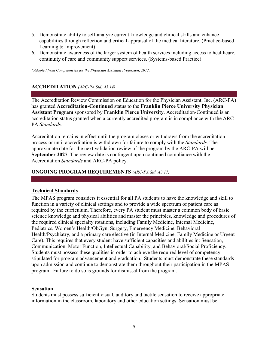- 5. Demonstrate ability to self-analyze current knowledge and clinical skills and enhance capabilities through reflection and critical appraisal of the medical literature. (Practice-based Learning & Improvement)
- 6. Demonstrate awareness of the larger system of health services including access to healthcare, continuity of care and community support services. (Systems-based Practice)

*\*Adapted from Competencies for the Physician Assistant Profession, 2012.*

# <span id="page-8-0"></span>**ACCREDITATION** *(ARC-PA Std. A3.14)*

The Accreditation Review Commission on Education for the Physician Assistant, Inc. (ARC-PA) has granted **Accreditation-Continued** status to the **Franklin Pierce University Physician Assistant Program** sponsored by **Franklin Pierce University**. Accreditation-Continued is an accreditation status granted when a currently accredited program is in compliance with the ARC-PA *Standards*.

Accreditation remains in effect until the program closes or withdraws from the accreditation process or until accreditation is withdrawn for failure to comply with the *Standards*. The approximate date for the next validation review of the program by the ARC-PA will be **September 2027**. The review date is contingent upon continued compliance with the Accreditation *Standards* and ARC-PA policy.

#### <span id="page-8-1"></span>**ONGOING PROGRAM REQUIREMENTS** *(ARC-PA Std. A3.17)*

# <span id="page-8-2"></span>**Technical Standards**

The MPAS program considers it essential for all PA students to have the knowledge and skill to function in a variety of clinical settings and to provide a wide spectrum of patient care as required by the curriculum. Therefore, every PA student must master a common body of basic science knowledge and physical abilities and master the principles, knowledge and procedures of the required clinical specialty rotations, including Family Medicine, Internal Medicine, Pediatrics, Women's Health/ObGyn, Surgery, Emergency Medicine, Behavioral Health/Psychiatry, and a primary care elective (in Internal Medicine, Family Medicine or Urgent Care). This requires that every student have sufficient capacities and abilities in: Sensation, Communication, Motor Function, Intellectual Capability, and Behavioral/Social Proficiency. Students must possess these qualities in order to achieve the required level of competency stipulated for program advancement and graduation. Students must demonstrate these standards upon admission and continue to demonstrate them throughout their participation in the MPAS program. Failure to do so is grounds for dismissal from the program.

#### **Sensation**

Students must possess sufficient visual, auditory and tactile sensation to receive appropriate information in the classroom, laboratory and other education settings. Sensation must be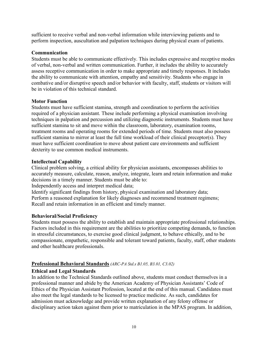sufficient to receive verbal and non-verbal information while interviewing patients and to perform inspection, auscultation and palpation techniques during physical exam of patients.

#### **Communication**

Students must be able to communicate effectively. This includes expressive and receptive modes of verbal, non-verbal and written communication. Further, it includes the ability to accurately assess receptive communication in order to make appropriate and timely responses. It includes the ability to communicate with attention, empathy and sensitivity. Students who engage in combative and/or disruptive speech and/or behavior with faculty, staff, students or visitors will be in violation of this technical standard.

#### **Motor Function**

Students must have sufficient stamina, strength and coordination to perform the activities required of a physician assistant. These include performing a physical examination involving techniques in palpation and percussion and utilizing diagnostic instruments. Students must have sufficient stamina to sit and move within the classroom, laboratory, examination rooms, treatment rooms and operating rooms for extended periods of time. Students must also possess sufficient stamina to mirror at least the full time workload of their clinical preceptor(s). They must have sufficient coordination to move about patient care environments and sufficient dexterity to use common medical instruments.

#### **Intellectual Capability**

Clinical problem solving, a critical ability for physician assistants, encompasses abilities to accurately measure, calculate, reason, analyze, integrate, learn and retain information and make decisions in a timely manner. Students must be able to:

Independently access and interpret medical data;

Identify significant findings from history, physical examination and laboratory data; Perform a reasoned explanation for likely diagnoses and recommend treatment regimens; Recall and retain information in an efficient and timely manner.

# **Behavioral/Social Proficiency**

Students must possess the ability to establish and maintain appropriate professional relationships. Factors included in this requirement are the abilities to prioritize competing demands, to function in stressful circumstances, to exercise good clinical judgment, to behave ethically, and to be compassionate, empathetic, responsible and tolerant toward patients, faculty, staff, other students and other healthcare professionals.

# <span id="page-9-0"></span>**Professional Behavioral Standards** *(ARC-PA Std.s B1.05, B3.01, C3.02)*

# **Ethical and Legal Standards**

In addition to the Technical Standards outlined above, students must conduct themselves in a professional manner and abide by the American Academy of Physician Assistants' Code of Ethics of the Physician Assistant Profession, located at the end of this manual. Candidates must also meet the legal standards to be licensed to practice medicine. As such, candidates for admission must acknowledge and provide written explanation of any felony offense or disciplinary action taken against them prior to matriculation in the MPAS program. In addition,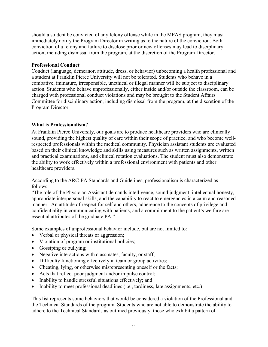should a student be convicted of any felony offense while in the MPAS program, they must immediately notify the Program Director in writing as to the nature of the conviction. Both conviction of a felony and failure to disclose prior or new offenses may lead to disciplinary action, including dismissal from the program, at the discretion of the Program Director.

#### **Professional Conduct**

Conduct (language, demeanor, attitude, dress, or behavior) unbecoming a health professional and a student at Franklin Pierce University will not be tolerated. Students who behave in a combative, immature, irresponsible, unethical or illegal manner will be subject to disciplinary action. Students who behave unprofessionally, either inside and/or outside the classroom, can be charged with professional conduct violations and may be brought to the Student Affairs Committee for disciplinary action, including dismissal from the program, at the discretion of the Program Director.

# <span id="page-10-0"></span>**What is Professionalism?**

At Franklin Pierce University, our goals are to produce healthcare providers who are clinically sound, providing the highest quality of care within their scope of practice, and who become wellrespected professionals within the medical community. Physician assistant students are evaluated based on their clinical knowledge and skills using measures such as written assignments, written and practical examinations, and clinical rotation evaluations. The student must also demonstrate the ability to work effectively within a professional environment with patients and other healthcare providers.

According to the ARC-PA Standards and Guidelines, professionalism is characterized as follows:

"The role of the Physician Assistant demands intelligence, sound judgment, intellectual honesty, appropriate interpersonal skills, and the capability to react to emergencies in a calm and reasoned manner. An attitude of respect for self and others, adherence to the concepts of privilege and confidentiality in communicating with patients, and a commitment to the patient's welfare are essential attributes of the graduate PA."

Some examples of unprofessional behavior include, but are not limited to:

- Verbal or physical threats or aggression;
- Violation of program or institutional policies;
- Gossiping or bullying;
- Negative interactions with classmates, faculty, or staff;
- Difficulty functioning effectively in team or group activities;
- Cheating, lying, or otherwise misrepresenting oneself or the facts;
- Acts that reflect poor judgment and/or impulse control;
- Inability to handle stressful situations effectively; and
- Inability to meet professional deadlines (i.e., tardiness, late assignments, etc.)

This list represents some behaviors that would be considered a violation of the Professional and the Technical Standards of the program. Students who are not able to demonstrate the ability to adhere to the Technical Standards as outlined previously, those who exhibit a pattern of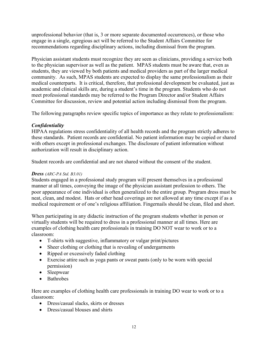unprofessional behavior (that is, 3 or more separate documented occurrences), or those who engage in a single, egregious act will be referred to the Student Affairs Committee for recommendations regarding disciplinary actions, including dismissal from the program.

Physician assistant students must recognize they are seen as clinicians, providing a service both to the physician supervisor as well as the patient. MPAS students must be aware that, even as students, they are viewed by both patients and medical providers as part of the larger medical community. As such, MPAS students are expected to display the same professionalism as their medical counterparts. It is critical, therefore, that professional development be evaluated, just as academic and clinical skills are, during a student's time in the program. Students who do not meet professional standards may be referred to the Program Director and/or Student Affairs Committee for discussion, review and potential action including dismissal from the program.

The following paragraphs review specific topics of importance as they relate to professionalism:

# *Confidentiality*

HIPAA regulations stress confidentiality of all health records and the program strictly adheres to these standards. Patient records are confidential. No patient information may be copied or shared with others except in professional exchanges. The disclosure of patient information without authorization will result in disciplinary action.

Student records are confidential and are not shared without the consent of the student.

# *Dress (ARC-PA Std. B3.01)*

Students engaged in a professional study program will present themselves in a professional manner at all times, conveying the image of the physician assistant profession to others. The poor appearance of one individual is often generalized to the entire group. Program dress must be neat, clean, and modest. Hats or other head coverings are not allowed at any time except if as a medical requirement or of one's religious affiliation. Fingernails should be clean, filed and short.

When participating in any didactic instruction of the program students whether in person or virtually students will be required to dress in a professional manner at all times. Here are examples of clothing health care professionals in training DO NOT wear to work or to a classroom:

- T-shirts with suggestive, inflammatory or vulgar print/pictures
- Sheer clothing or clothing that is revealing of undergarments
- Ripped or excessively faded clothing
- Exercise attire such as yoga pants or sweat pants (only to be worn with special permission)
- Sleepwear
- **Bathrobes**

Here are examples of clothing health care professionals in training DO wear to work or to a classroom:

- Dress/casual slacks, skirts or dresses
- Dress/casual blouses and shirts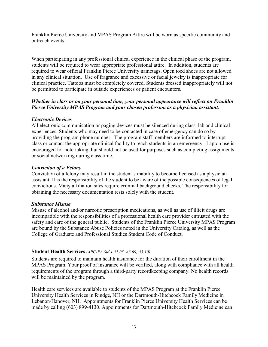Franklin Pierce University and MPAS Program Attire will be worn as specific community and outreach events.

When participating in any professional clinical experience in the clinical phase of the program, students will be required to wear appropriate professional attire. In addition, students are required to wear official Franklin Pierce University nametags. Open toed shoes are not allowed in any clinical situation. Use of fragrance and excessive or facial jewelry is inappropriate for clinical practice. Tattoos must be completely covered. Students dressed inappropriately will not be permitted to participate in outside experiences or patient encounters.

# *Whether in class or on your personal time, your personal appearance will reflect on Franklin Pierce University MPAS Program and your chosen profession as a physician assistant.*

# *Electronic Devices*

All electronic communication or paging devices must be silenced during class, lab and clinical experiences. Students who may need to be contacted in case of emergency can do so by providing the program phone number. The program staff members are informed to interrupt class or contact the appropriate clinical facility to reach students in an emergency. Laptop use is encouraged for note-taking, but should not be used for purposes such as completing assignments or social networking during class time.

# *Conviction of a Felony*

Conviction of a felony may result in the student's inability to become licensed as a physician assistant. It is the responsibility of the student to be aware of the possible consequences of legal convictions. Many affiliation sites require criminal background checks. The responsibility for obtaining the necessary documentation rests solely with the student.

# *Substance Misuse*

Misuse of alcohol and/or narcotic prescription medications, as well as use of illicit drugs are incompatible with the responsibilities of a professional health care provider entrusted with the safety and care of the general public. Students of the Franklin Pierce University MPAS Program are bound by the Substance Abuse Policies noted in the University Catalog, as well as the College of Graduate and Professional Studies Student Code of Conduct.

# <span id="page-12-0"></span>**Student Health Services** *(ARC-PA Std.s A1.05, A3.09, A3.10)*

Students are required to maintain health insurance for the duration of their enrollment in the MPAS Program. Your proof of insurance will be verified, along with compliance with all health requirements of the program through a third-party recordkeeping company. No health records will be maintained by the program.

Health care services are available to students of the MPAS Program at the Franklin Pierce University Health Services in Rindge, NH or the Dartmouth-Hitchcock Family Medicine in Lebanon/Hanover, NH. Appointments for Franklin Pierce University Health Services can be made by calling (603) 899-4130. Appointments for Dartmouth-Hitchcock Family Medicine can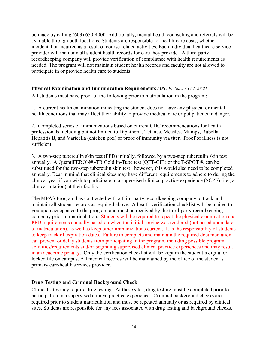be made by calling (603) 650-4000. Additionally, mental health counseling and referrals will be available through both locations. Students are responsible for health-care costs, whether incidental or incurred as a result of course-related activities. Each individual healthcare service provider will maintain all student health records for care they provide. A third-party recordkeeping company will provide verification of compliance with health requirements as needed. The program will not maintain student health records and faculty are not allowed to participate in or provide health care to students.

# <span id="page-13-0"></span>**Physical Examination and Immunization Requirements** *(ARC-PA Std.s A3.07, A3.21)*

All students must have proof of the following prior to matriculation in the program:

1. A current health examination indicating the student does not have any physical or mental health conditions that may affect their ability to provide medical care or put patients in danger.

2. Completed series of immunizations based on current CDC recommendations for health professionals including but not limited to Diphtheria, Tetanus, Measles, Mumps, Rubella, Hepatitis B, and Varicella (chicken pox) or proof of immunity via titer. Proof of illness is not sufficient.

3. A two-step tuberculin skin test (PPD) initially, followed by a two-step tuberculin skin test annually. A QuantiFERON®-TB Gold In-Tube test (QFT-GIT) or the T-SPOT ® can be substituted for the two-step tuberculin skin test ; however, this would also need to be completed annually. Bear in mind that clinical sites may have different requirements to adhere to during the clinical year if you wish to participate in a supervised clinical practice experience (SCPE) (i.e., a clinical rotation) at their facility.

The MPAS Program has contracted with a third-party recordkeeping company to track and maintain all student records as required above. A health verification checklist will be mailed to you upon acceptance to the program and must be received by the third-party recordkeeping company prior to matriculation. Students will be required to repeat the physical examination and PPD requirements annually based on when the initial service was rendered (not based upon date of matriculation), as well as keep other immunizations current. It is the responsibility of students to keep track of expiration dates. Failure to complete and maintain the required documentation can prevent or delay students from participating in the program, including possible program activities/requirements and/or beginning supervised clinical practice experiences and may result in an academic penalty. Only the verification checklist will be kept in the student's digital or locked file on campus. All medical records will be maintained by the office of the student's primary care/health services provider.

#### <span id="page-13-1"></span>**Drug Testing and Criminal Background Check**

Clinical sites may require drug testing. At these sites, drug testing must be completed prior to participation in a supervised clinical practice experience. Criminal background checks are required prior to student matriculation and must be repeated annually or as required by clinical sites. Students are responsible for any fees associated with drug testing and background checks.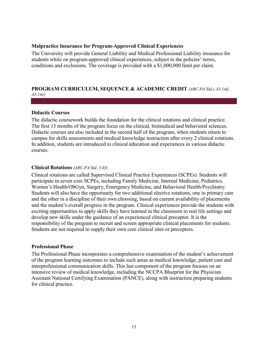#### <span id="page-14-0"></span>**Malpractice Insurance for Program-Approved Clinical Experiences**

The University will provide General Liability and Medical Professional Liability insurance for students while on program-approved clinical experiences, subject to the policies' terms, conditions and exclusions. The coverage is provided with a \$1,000,000 limit per claim.

#### <span id="page-14-1"></span>**PROGRAM CURRICULUM, SEQUENCE & ACADEMIC CREDIT** *(ARC-PA Std.s A3.14d, A3.14e)*

#### <span id="page-14-2"></span>**Didactic Courses**

The didactic coursework builds the foundation for the clinical rotations and clinical practice. The first 13 months of the program focus on the clinical, biomedical and behavioral sciences. Didactic courses are also included in the second half of the program, when students return to campus for skills assessments and medical knowledge instruction after every 2 clinical rotations. In addition, students are introduced to clinical education and experiences in various didactic courses.

#### <span id="page-14-3"></span>**Clinical Rotations** *(ARC-PA Std. 3.03)*

Clinical rotations are called Supervised Clinical Practice Experiences (SCPEs). Students will participate in seven core SCPEs, including Family Medicine, Internal Medicine, Pediatrics, Women's Health/ObGyn, Surgery, Emergency Medicine, and Behavioral Health/Psychiatry. Students will also have the opportunity for two additional elective rotations, one in primary care and the other in a discipline of their own choosing, based on current availability of placements and the student's overall progress in the program. Clinical experiences provide the students with exciting opportunities to apply skills they have learned in the classroom to real life settings and develop new skills under the guidance of an experienced clinical preceptor. It is the responsibility of the program to recruit and screen appropriate clinical placements for students. Students are not required to supply their own core clinical sites or preceptors.

#### <span id="page-14-4"></span>**Professional Phase**

The Professional Phase incorporates a comprehensive examination of the student's achievement of the program learning outcomes to include such areas as medical knowledge, patient care and interprofessional communication skills. This last component of the program focuses on an intensive review of medical knowledge, including the NCCPA Blueprint for the Physician Assistant National Certifying Examination (PANCE), along with instruction preparing students for clinical practice.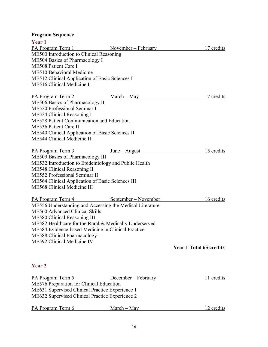# <span id="page-15-0"></span>**Program Sequence**

| Year 1                                                   |                     |                                |
|----------------------------------------------------------|---------------------|--------------------------------|
| PA Program Term 1                                        | November – February | 17 credits                     |
| ME500 Introduction to Clinical Reasoning                 |                     |                                |
| <b>ME504 Basics of Pharmacology I</b>                    |                     |                                |
| <b>ME508 Patient Care I</b>                              |                     |                                |
| ME510 Behavioral Medicine                                |                     |                                |
| ME512 Clinical Application of Basic Sciences I           |                     |                                |
| ME516 Clinical Medicine I                                |                     |                                |
| PA Program Term 2                                        | $March - May$       | 17 credits                     |
| ME506 Basics of Pharmacology II                          |                     |                                |
| ME520 Professional Seminar I                             |                     |                                |
| ME524 Clinical Reasoning I                               |                     |                                |
| ME528 Patient Communication and Education                |                     |                                |
| <b>ME536 Patient Care II</b>                             |                     |                                |
| ME540 Clinical Application of Basic Sciences II          |                     |                                |
| ME544 Clinical Medicine II                               |                     |                                |
| PA Program Term 3                                        | $June - August$     | 15 credits                     |
| ME509 Basics of Pharmacology III                         |                     |                                |
| ME532 Introduction to Epidemiology and Public Health     |                     |                                |
| ME548 Clinical Reasoning II                              |                     |                                |
| ME552 Professional Seminar II                            |                     |                                |
| ME564 Clinical Application of Basic Sciences III         |                     |                                |
| ME568 Clinical Medicine III                              |                     |                                |
| PA Program Term 4 September – November                   |                     | 16 credits                     |
| ME556 Understanding and Accessing the Medical Literature |                     |                                |
| ME560 Advanced Clinical Skills                           |                     |                                |
| ME580 Clinical Reasoning III                             |                     |                                |
| ME582 Healthcare for the Rural & Medically Underserved   |                     |                                |
| ME584 Evidence-based Medicine in Clinical Practice       |                     |                                |
| <b>ME588 Clinical Pharmacology</b>                       |                     |                                |
| ME592 Clinical Medicine IV                               |                     |                                |
|                                                          |                     | <b>Year 1 Total 65 credits</b> |
|                                                          |                     |                                |
|                                                          |                     |                                |

# **Year 2**

| PA Program Term 5                               | December – February | 11 credits |
|-------------------------------------------------|---------------------|------------|
| ME576 Preparation for Clinical Education        |                     |            |
| ME631 Supervised Clinical Practice Experience 1 |                     |            |
| ME632 Supervised Clinical Practice Experience 2 |                     |            |
| nın                                             |                     |            |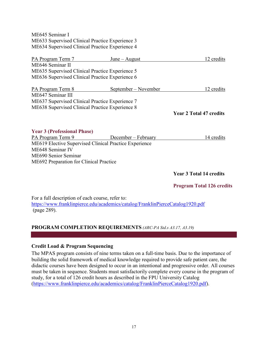ME645 Seminar I ME633 Supervised Clinical Practice Experience 3 ME634 Supervised Clinical Practice Experience 4

| PA Program Term 7                                      | $June - August$             | 12 credits                       |
|--------------------------------------------------------|-----------------------------|----------------------------------|
| ME646 Seminar II                                       |                             |                                  |
| ME635 Supervised Clinical Practice Experience 5        |                             |                                  |
| ME636 Supervised Clinical Practice Experience 6        |                             |                                  |
| <b>PA Program Term 8</b>                               | <u>September – November</u> | 12 credits                       |
| ME647 Seminar III                                      |                             |                                  |
| ME637 Supervised Clinical Practice Experience 7        |                             |                                  |
| ME638 Supervised Clinical Practice Experience 8        |                             |                                  |
|                                                        |                             | <b>Year 2 Total 47 credits</b>   |
|                                                        |                             |                                  |
| <b>Year 3 (Professional Phase)</b>                     |                             |                                  |
| PA Program Term 9                                      | December – February         | 14 credits                       |
| ME619 Elective Supervised Clinical Practice Experience |                             |                                  |
| ME648 Seminar IV                                       |                             |                                  |
| ME690 Senior Seminar                                   |                             |                                  |
| ME692 Preparation for Clinical Practice                |                             |                                  |
|                                                        |                             | <b>Year 3 Total 14 credits</b>   |
|                                                        |                             | <b>Program Total 126 credits</b> |

For a full description of each course, refer to: <https://www.franklinpierce.edu/academics/catalog/FranklinPierceCatalog1920.pdf> (page 289).

# <span id="page-16-0"></span>**PROGRAM COMPLETION REQUIREMENTS** *(ARC-PA Std.s A3.17, A3.19)*

# <span id="page-16-1"></span>**Credit Load & Program Sequencing**

The MPAS program consists of nine terms taken on a full-time basis. Due to the importance of building the solid framework of medical knowledge required to provide safe patient care, the didactic courses have been designed to occur in an intentional and progressive order. All courses must be taken in sequence. Students must satisfactorily complete every course in the program of study, for a total of 126 credit hours as described in the FPU University Catalog [\(https://www.franklinpierce.edu/academics/catalog/FranklinPierceCatalog1920.pdf\)](https://www.franklinpierce.edu/academics/catalog/FranklinPierceCatalog1920.pdf).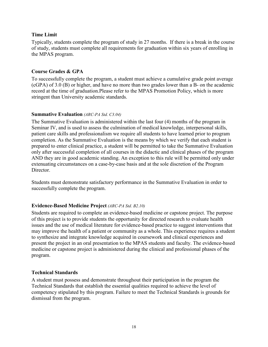#### <span id="page-17-0"></span>**Time Limit**

Typically, students complete the program of study in 27 months. If there is a break in the course of study, students must complete all requirements for graduation within six years of enrolling in the MPAS program.

#### <span id="page-17-1"></span>**Course Grades & GPA**

To successfully complete the program, a student must achieve a cumulative grade point average (cGPA) of 3.0 (B) or higher, and have no more than two grades lower than a B- on the academic record at the time of graduation.Please refer to the MPAS Promotion Policy, which is more stringent than University academic standards.

#### <span id="page-17-2"></span>**Summative Evaluation** *(ARC-PA Std. C3.04)*

The Summative Evaluation is administered within the last four (4) months of the program in Seminar IV, and is used to assess the culmination of medical knowledge, interpersonal skills, patient care skills and professionalism we require all students to have learned prior to program completion. As the Summative Evaluation is the means by which we verify that each student is prepared to enter clinical practice, a student will be permitted to take the Summative Evaluation only after successful completion of all courses in the didactic and clinical phases of the program AND they are in good academic standing. An exception to this rule will be permitted only under extenuating circumstances on a case-by-case basis and at the sole discretion of the Program Director.

Students must demonstrate satisfactory performance in the Summative Evaluation in order to successfully complete the program.

#### <span id="page-17-3"></span>**Evidence-Based Medicine Project** *(ARC-PA Std. B2.10)*

Students are required to complete an evidence-based medicine or capstone project. The purpose of this project is to provide students the opportunity for directed research to evaluate health issues and the use of medical literature for evidence-based practice to suggest interventions that may improve the health of a patient or community as a whole. This experience requires a student to synthesize and integrate knowledge acquired in coursework and clinical experiences and present the project in an oral presentation to the MPAS students and faculty. The evidence-based medicine or capstone project is administered during the clinical and professional phases of the program.

#### <span id="page-17-4"></span>**Technical Standards**

A student must possess and demonstrate throughout their participation in the program the Technical Standards that establish the essential qualities required to achieve the level of competency stipulated by this program. Failure to meet the Technical Standards is grounds for dismissal from the program.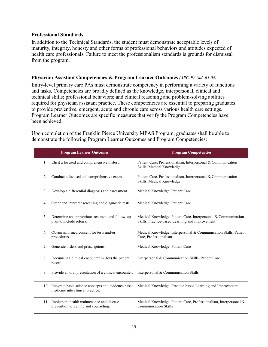#### <span id="page-18-0"></span>**Professional Standards**

In addition to the Technical Standards, the student must demonstrate acceptable levels of maturity, integrity, honesty and other forms of professional behaviors and attitudes expected of health care professionals. Failure to meet the professionalism standards is grounds for dismissal from the program.

#### <span id="page-18-1"></span>**Physician Assistant Competencies & Program Learner Outcomes** *(ARC-PA Std. B1.04)*

Entry-level primary care PAs must demonstrate competency in performing a variety of functions and tasks. Competencies are broadly defined as the knowledge, interpersonal, clinical and technical skills; professional behaviors; and clinical reasoning and problem-solving abilities required for physician assistant practice. These competencies are essential to preparing graduates to provide preventive, emergent, acute and chronic care across various health care settings. Program Learner Outcomes are specific measures that verify the Program Competencies have been achieved.

| <b>Program Learner Outcomes</b> |    |                                                                                             | <b>Program Competencies</b>                                                                                       |  |
|---------------------------------|----|---------------------------------------------------------------------------------------------|-------------------------------------------------------------------------------------------------------------------|--|
|                                 | 1. | Elicit a focused and comprehensive history.                                                 | Patient Care, Professionalism, Interpersonal & Communication<br>Skills, Medical Knowledge                         |  |
|                                 | 2. | Conduct a focused and comprehensive exam.                                                   | Patient Care, Professionalism, Interpersonal & Communication<br>Skills, Medical Knowledge                         |  |
|                                 | 3. | Develop a differential diagnosis and assessment.                                            | Medical Knowledge, Patient Care                                                                                   |  |
|                                 | 4. | Order and interpret screening and diagnostic tests.                                         | Medical Knowledge, Patient Care                                                                                   |  |
|                                 | 5. | Determine an appropriate treatment and follow-up<br>plan to include referral.               | Medical Knowledge, Patient Care, Interpersonal & Communication<br>Skills, Practice-based Learning and Improvement |  |
|                                 | 6. | Obtain informed consent for tests and/or<br>procedures.                                     | Medical Knowledge, Interpersonal & Communication Skills, Patient<br>Care, Professionalism                         |  |
|                                 | 7. | Generate orders and prescriptions.                                                          | Medical Knowledge, Patient Care                                                                                   |  |
|                                 | 8. | Document a clinical encounter in (for) the patient<br>record.                               | Interpersonal & Communication Skills, Patient Care                                                                |  |
|                                 | 9. | Provide an oral presentation of a clinical encounter.                                       | Interpersonal & Communication Skills                                                                              |  |
|                                 |    | 10. Integrate basic science concepts and evidence based<br>medicine into clinical practice. | Medical Knowledge, Practice-based Learning and Improvement                                                        |  |
|                                 |    | 11. Implement health maintenance and disease<br>prevention screening and counseling.        | Medical Knowledge, Patient Care, Professionalism, Interpersonal &<br><b>Communication Skills</b>                  |  |

Upon completion of the Franklin Pierce University MPAS Program, graduates shall be able to demonstrate the following Program Learner Outcomes and Program Competencies: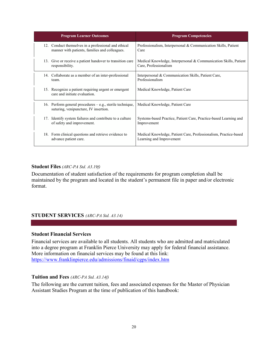| <b>Program Learner Outcomes</b> |                                                                                                        | <b>Program Competencies</b>                                                                  |
|---------------------------------|--------------------------------------------------------------------------------------------------------|----------------------------------------------------------------------------------------------|
|                                 | 12. Conduct themselves in a professional and ethical<br>manner with patients, families and colleagues. | Professionalism, Interpersonal & Communication Skills, Patient<br>Care                       |
| 13.                             | Give or receive a patient handover to transition care<br>responsibility.                               | Medical Knowledge, Interpersonal & Communication Skills, Patient<br>Care, Professionalism    |
|                                 | 14. Collaborate as a member of an inter-professional<br>team.                                          | Interpersonal & Communication Skills, Patient Care,<br>Professionalism                       |
|                                 | 15. Recognize a patient requiring urgent or emergent<br>care and initiate evaluation.                  | Medical Knowledge, Patient Care                                                              |
|                                 | 16. Perform general procedures $-e.g.,$ sterile technique,<br>suturing, venipuncture, IV insertion.    | Medical Knowledge, Patient Care                                                              |
|                                 | 17. Identify system failures and contribute to a culture<br>of safety and improvement.                 | Systems-based Practice, Patient Care, Practice-based Learning and<br>Improvement             |
|                                 | 18. Form clinical questions and retrieve evidence to<br>advance patient care.                          | Medical Knowledge, Patient Care, Professionalism, Practice-based<br>Learning and Improvement |

#### <span id="page-19-0"></span>**Student Files** *(ARC-PA Std. A3.19f)*

Documentation of student satisfaction of the requirements for program completion shall be maintained by the program and located in the student's permanent file in paper and/or electronic format.

#### <span id="page-19-1"></span>**STUDENT SERVICES** *(ARC-PA Std. A3.14)*

#### <span id="page-19-2"></span>**Student Financial Services**

Financial services are available to all students. All students who are admitted and matriculated into a degree program at Franklin Pierce University may apply for federal financial assistance. More information on financial services may be found at this link: <https://www.franklinpierce.edu/admissions/finaid/cgps/index.htm>

#### <span id="page-19-3"></span>**Tuition and Fees** *(ARC-PA Std. A3.14f)*

The following are the current tuition, fees and associated expenses for the Master of Physician Assistant Studies Program at the time of publication of this handbook: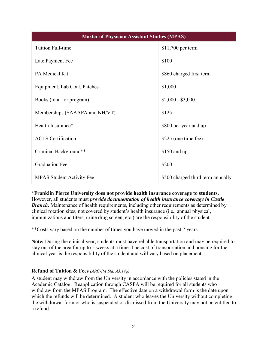| <b>Master of Physician Assistant Studies (MPAS)</b> |                                   |  |
|-----------------------------------------------------|-----------------------------------|--|
| <b>Tuition Full-time</b>                            | $$11,700$ per term                |  |
| Late Payment Fee                                    | \$100                             |  |
| PA Medical Kit                                      | \$860 charged first term          |  |
| Equipment, Lab Coat, Patches                        | \$1,000                           |  |
| Books (total for program)                           | $$2,000 - $3,000$                 |  |
| Memberships (SAAAPA and NH/VT)                      | \$125                             |  |
| Health Insurance*                                   | \$800 per year and up             |  |
| <b>ACLS</b> Certification                           | \$225 (one time fee)              |  |
| Criminal Background**                               | $$150$ and up                     |  |
| <b>Graduation Fee</b>                               | \$200                             |  |
| <b>MPAS Student Activity Fee</b>                    | \$500 charged third term annually |  |

**\*Franklin Pierce University does not provide health insurance coverage to students.**  However, all students must *provide documentation of health insurance coverage in Castle Branch*. Maintenance of health requirements, including other requirements as determined by clinical rotation sites, not covered by student's health insurance (i.e., annual physical, immunizations and titers, urine drug screen, etc.) are the responsibility of the student.

\*\*Costs vary based on the number of times you have moved in the past 7 years.

**Note:** During the clinical year, students must have reliable transportation and may be required to stay out of the area for up to 5 weeks at a time. The cost of transportation and housing for the clinical year is the responsibility of the student and will vary based on placement.

# <span id="page-20-0"></span>**Refund of Tuition & Fees** *(ARC-PA Std. A3.14g)*

A student may withdraw from the University in accordance with the policies stated in the Academic Catalog. Reapplication through CASPA will be required for all students who withdraw from the MPAS Program. The effective date on a withdrawal form is the date upon which the refunds will be determined. A student who leaves the University without completing the withdrawal form or who is suspended or dismissed from the University may not be entitled to a refund.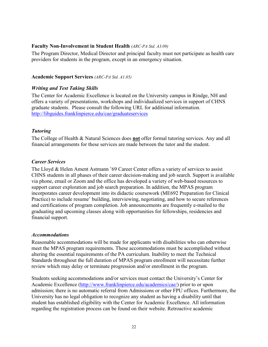#### <span id="page-21-0"></span>**Faculty Non-Involvement in Student Health** *(ARC-PA Std. A3.09)*

The Program Director, Medical Director and principal faculty must not participate as health care providers for students in the program, except in an emergency situation.

#### <span id="page-21-1"></span>**Academic Support Services** *(ARC-PA Std. A1.05)*

#### <span id="page-21-2"></span>*Writing and Test Taking Skills*

The Center for Academic Excellence is located on the University campus in Rindge, NH and offers a variety of presentations, workshops and individualized services in support of CHNS graduate students. Please consult the following URL for additional information. <http://libguides.franklinpierce.edu/cae/graduateservices>

#### <span id="page-21-3"></span>*Tutoring*

The College of Health & Natural Sciences does **not** offer formal tutoring services. Any and all financial arrangements for these services are made between the tutor and the student.

#### <span id="page-21-4"></span>*Career Services*

The Lloyd & Helen Ament Astmann '69 Career Center offers a variety of services to assist CHNS students in all phases of their career decision-making and job search. Support is available via phone, email or Zoom and the office has developed a variety of web-based resources to support career exploration and job search preparation. In addition, the MPAS program incorporates career development into its didactic coursework (ME692 Preparation for Clinical Practice) to include resume' building, interviewing, negotiating, and how to secure references and certifications of program completion. Job announcements are frequently e-mailed to the graduating and upcoming classes along with opportunities for fellowships, residencies and financial support.

#### <span id="page-21-5"></span>*Accommodations*

Reasonable accommodations will be made for applicants with disabilities who can otherwise meet the MPAS program requirements. These accommodations must be accomplished without altering the essential requirements of the PA curriculum. Inability to meet the Technical Standards throughout the full duration of MPAS program enrollment will necessitate further review which may delay or terminate progression and/or enrollment in the program.

Students seeking accommodations and/or services must contact the University's Center for Academic Excellence [\(http://www.franklinpierce.edu/academics/cae/\)](http://www.franklinpierce.edu/academics/cae/) prior to or upon admission; there is no automatic referral from Admissions or other FPU offices. Furthermore, the University has no legal obligation to recognize any student as having a disability until that student has established eligibility with the Center for Academic Excellence. All information regarding the registration process can be found on their website. Retroactive academic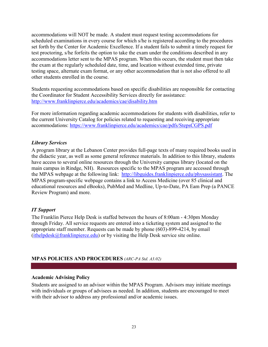accommodations will NOT be made. A student must request testing accommodations for scheduled examinations in every course for which s/he is registered according to the procedures set forth by the Center for Academic Excellence. If a student fails to submit a timely request for test proctoring, s/he forfeits the option to take the exam under the conditions described in any accommodations letter sent to the MPAS program. When this occurs, the student must then take the exam at the regularly scheduled date, time, and location without extended time, private testing space, alternate exam format, or any other accommodation that is not also offered to all other students enrolled in the course.

Students requesting accommodations based on specific disabilities are responsible for contacting the Coordinator for Student Accessibility Services directly for assistance: <http://www.franklinpierce.edu/academics/cae/disability.htm>

For more information regarding academic accommodations for students with disabilities, refer to the current University Catalog for policies related to requesting and receiving appropriate accommodations:<https://www.franklinpierce.edu/academics/cae/pdfs/StepsCGPS.pdf>

# <span id="page-22-0"></span>*Library Services*

A program library at the Lebanon Center provides full-page texts of many required books used in the didactic year, as well as some general reference materials. In addition to this library, students have access to several online resources through the University campus library (located on the main campus in Rindge, NH). Resources specific to the MPAS program are accessed through the MPAS webpage at the following link: [http://libguides.franklinpierce.edu/physassistant.](http://libguides.franklinpierce.edu/physassistant) The MPAS program-specific webpage contains a link to Access Medicine (over 85 clinical and educational resources and eBooks), PubMed and Medline, Up-to-Date, PA Eam Prep (a PANCE Review Program) and more.

# <span id="page-22-1"></span>*IT Support*

The Franklin Pierce Help Desk is staffed between the hours of 8:00am - 4:30pm Monday through Friday. All service requests are entered into a ticketing system and assigned to the appropriate staff member. Requests can be made by phone (603)-899-4214, by email  $(ithelpdesk@franklinpiece.edu)$  or by visiting the Help Desk service site online.

# <span id="page-22-2"></span>**MPAS POLICIES AND PROCEDURES** *(ARC-PA Std. A3.02)*

#### <span id="page-22-3"></span>**Academic Advising Policy**

Students are assigned to an advisor within the MPAS Program. Advisors may initiate meetings with individuals or groups of advisees as needed. In addition, students are encouraged to meet with their advisor to address any professional and/or academic issues.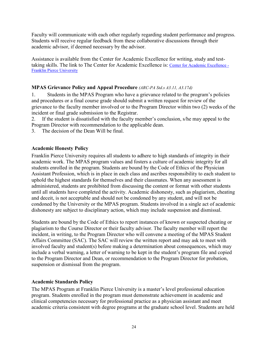Faculty will communicate with each other regularly regarding student performance and progress. Students will receive regular feedback from these collaborative discussions through their academic advisor, if deemed necessary by the advisor.

Assistance is available from the Center for Academic Excellence for writing, study and testtaking skills. The link to The Center for Academic Excellence is: [Center for Academic Excellence -](https://www.franklinpierce.edu/student-experience/support/academics/cae/index.html)  [Franklin Pierce University](https://www.franklinpierce.edu/student-experience/support/academics/cae/index.html)

# <span id="page-23-0"></span>**MPAS Grievance Policy and Appeal Procedure** *(ARC-PA Std.s A3.11, A3.17d)*

1. Students in the MPAS Program who have a grievance related to the program's policies and procedures or a final course grade should submit a written request for review of the grievance to the faculty member involved or to the Program Director within two (2) weeks of the incident or final grade submission to the Registrar.

2. If the student is dissatisfied with the faculty member's conclusion, s/he may appeal to the Program Director with recommendation to the applicable dean.

3. The decision of the Dean Will be final.

# <span id="page-23-1"></span>**Academic Honesty Policy**

Franklin Pierce University requires all students to adhere to high standards of integrity in their academic work. The MPAS program values and fosters a culture of academic integrity for all students enrolled in the program. Students are bound by the Code of Ethics of the Physician Assistant Profession, which is in place in each class and ascribes responsibility to each student to uphold the highest standards for themselves and their classmates. When any assessment is administered, students are prohibited from discussing the content or format with other students until all students have completed the activity. Academic dishonesty, such as plagiarism, cheating and deceit, is not acceptable and should not be condoned by any student, and will not be condoned by the University or the MPAS program. Students involved in a single act of academic dishonesty are subject to disciplinary action, which may include suspension and dismissal.

Students are bound by the Code of Ethics to report instances of known or suspected cheating or plagiarism to the Course Director or their faculty advisor. The faculty member will report the incident, in writing, to the Program Director who will convene a meeting of the MPAS Student Affairs Committee (SAC). The SAC will review the written report and may ask to meet with involved faculty and student(s) before making a determination about consequences, which may include a verbal warning, a letter of warning to be kept in the student's program file and copied to the Program Director and Dean, or recommendation to the Program Director for probation, suspension or dismissal from the program.

# <span id="page-23-2"></span>**Academic Standards Policy**

The MPAS Program at Franklin Pierce University is a master's level professional education program. Students enrolled in the program must demonstrate achievement in academic and clinical competencies necessary for professional practice as a physician assistant and meet academic criteria consistent with degree programs at the graduate school level. Students are held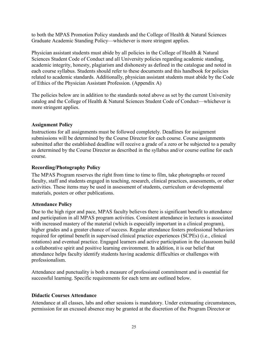to both the MPAS Promotion Policy standards and the College of Health & Natural Sciences Graduate Academic Standing Policy—whichever is more stringent applies.

Physician assistant students must abide by all policies in the College of Health & Natural Sciences Student Code of Conduct and all University policies regarding academic standing, academic integrity, honesty, plagiarism and dishonesty as defined in the catalogue and noted in each course syllabus. Students should refer to these documents and this handbook for policies related to academic standards. Additionally, physician assistant students must abide by the Code of Ethics of the Physician Assistant Profession. (Appendix A)

The policies below are in addition to the standards noted above as set by the current University catalog and the College of Health & Natural Sciences Student Code of Conduct—whichever is more stringent applies.

# <span id="page-24-0"></span>**Assignment Policy**

Instructions for all assignments must be followed completely. Deadlines for assignment submissions will be determined by the Course Director for each course. Course assignments submitted after the established deadline will receive a grade of a zero or be subjected to a penalty as determined by the Course Director as described in the syllabus and/or course outline for each course.

# <span id="page-24-1"></span>**Recording/Photography Policy**

The MPAS Program reserves the right from time to time to film, take photographs or record faculty, staff and students engaged in teaching, research, clinical practices, assessments, or other activities. These items may be used in assessment of students, curriculum or developmental materials, posters or other publications.

# **Attendance Policy**

Due to the high rigor and pace, MPAS faculty believes there is significant benefit to attendance and participation in all MPAS program activities. Consistent attendance in lectures is associated with increased mastery of the material (which is especially important in a clinical program), higher grades and a greater chance of success. Regular attendance fosters professional behaviors required for optimal benefit in supervised clinical practice experiences (SCPEs) (i.e., clinical rotations) and eventual practice. Engaged learners and active participation in the classroom build a collaborative spirit and positive learning environment. In addition, it is our belief that attendance helps faculty identify students having academic difficulties or challenges with professionalism.

Attendance and punctuality is both a measure of professional commitment and is essential for successful learning. Specific requirements for each term are outlined below.

# <span id="page-24-2"></span>**Didactic Courses Attendance**

Attendance at all classes, labs and other sessions is mandatory. Under extenuating circumstances, permission for an excused absence may be granted at the discretion of the Program Director or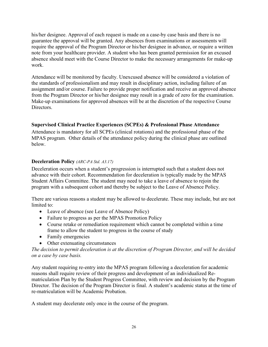his/her designee. Approval of each request is made on a case-by case basis and there is no guarantee the approval will be granted. Any absences from examinations or assessments will require the approval of the Program Director or his/her designee in advance, or require a written note from your healthcare provider. A student who has been granted permission for an excused absence should meet with the Course Director to make the necessary arrangements for make-up work.

Attendance will be monitored by faculty. Unexcused absence will be considered a violation of the standards of professionalism and may result in disciplinary action, including failure of an assignment and/or course. Failure to provide proper notification and receive an approved absence from the Program Director or his/her designee may result in a grade of zero for the examination. Make-up examinations for approved absences will be at the discretion of the respective Course Directors.

# <span id="page-25-0"></span>**Supervised Clinical Practice Experiences (SCPEs) & Professional Phase Attendance**

Attendance is mandatory for all SCPEs (clinical rotations) and the professional phase of the MPAS program. Other details of the attendance policy during the clinical phase are outlined below.

# <span id="page-25-1"></span>**Deceleration Policy** *(ARC-PA Std. A3.17)*

Deceleration occurs when a student's progression is interrupted such that a student does not advance with their cohort. Recommendation for deceleration is typically made by the MPAS Student Affairs Committee. The student may need to take a leave of absence to rejoin the program with a subsequent cohort and thereby be subject to the Leave of Absence Policy.

There are various reasons a student may be allowed to decelerate. These may include, but are not limited to:

- Leave of absence (see Leave of Absence Policy)
- Failure to progress as per the MPAS Promotion Policy
- Course retake or remediation requirement which cannot be completed within a time frame to allow the student to progress in the course of study
- Family emergencies
- Other extenuating circumstances

*The decision to permit deceleration is at the discretion of Program Director, and will be decided on a case by case basis.* 

Any student requiring re-entry into the MPAS program following a deceleration for academic reasons shall require review of their progress and development of an individualized Rematriculation Plan by the Student Progress Committee, with review and decision by the Program Director. The decision of the Program Director is final. A student's academic status at the time of re-matriculation will be Academic Probation.

A student may decelerate only once in the course of the program.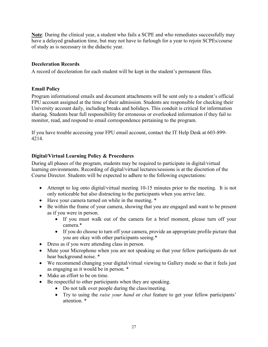**Note**: During the clinical year, a student who fails a SCPE and who remediates successfully may have a delayed graduation time, but may not have to furlough for a year to rejoin SCPEs/course of study as is necessary in the didactic year.

# <span id="page-26-0"></span>**Deceleration Records**

A record of deceleration for each student will be kept in the student's permanent files.

# <span id="page-26-1"></span>**Email Policy**

Program informational emails and document attachments will be sent only to a student's official FPU account assigned at the time of their admission. Students are responsible for checking their University account daily, including breaks and holidays. This conduit is critical for information sharing. Students bear full responsibility for erroneous or overlooked information if they fail to monitor, read, and respond to email correspondence pertaining to the program.

If you have trouble accessing your FPU email account, contact the IT Help Desk at 603-899- 4214.

# <span id="page-26-2"></span>**Digital/Virtual Learning Policy & Procedures**

During all phases of the program, students may be required to participate in digital/virtual learning environments. Recording of digital/virtual lectures/sessions is at the discretion of the Course Director. Students will be expected to adhere to the following expectations:

- Attempt to log onto digital/virtual meeting 10-15 minutes prior to the meeting. It is not only noticeable but also distracting to the participants when you arrive late.
- Have your camera turned on while in the meeting. \*
- Be within the frame of your camera, showing that you are engaged and want to be present as if you were in person.
	- If you must walk out of the camera for a brief moment, please turn off your camera.\*
	- If you do choose to turn off your camera, provide an appropriate profile picture that you are okay with other participants seeing.\*
- Dress as if you were attending class in person.
- Mute your Microphone when you are not speaking so that your fellow participants do not hear background noise. \*
- We recommend changing your digital/virtual viewing to Gallery mode so that it feels just as engaging as it would be in person. \*
- Make an effort to be on time.
- Be respectful to other participants when they are speaking.
	- Do not talk over people during the class/meeting.
	- Try to using the *raise your hand* or *chat* feature to get your fellow participants' attention. \*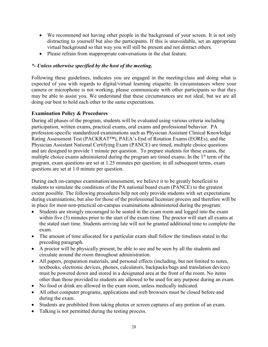- We recommend not having other people in the background of your screen. It is not only distracting to yourself but also the participants. If this is unavoidable, set an appropriate virtual background so that way you will still be present and not distract others.
- Please refrain from inappropriate conversations in the chat feature.

# *\*- Unless otherwise specified by the host of the meeting.*

Following these guidelines, indicates you are engaged in the meeting/class and doing what is expected of you with regards to digital/virtual learning etiquette. In circumstances where your camera or microphone is not working, please communicate with other participants so that they may be able to assist you. We understand that these circumstances are not ideal, but we are all doing our best to hold each other to the same expectations.

# <span id="page-27-0"></span>**Examination Policy & Procedures**

During all phases of the program, students will be evaluated using various criteria including participation, written exams, practical exams, oral exams and professional behavior. PA profession-specific standardized examinations such as Physician Assistant Clinical Knowledge Rating Assessment Test (PACKRAT™), PAEA's End of Rotation Exams (EOREs), and the Physician Assistant National Certifying Exam (PANCE) are timed, multiple choice questions and are designed to provide 1 minute per question. To prepare students for these exams, the multiple choice exams administered during the program are timed exams. In the  $1<sup>st</sup>$  term of the program, exam questions are set at 1.25 minutes per question; in all subsequent terms, exam questions are set at 1.0 minute per question.

During each on-campus examination/assessment, we believe it to be greatly beneficial to students to simulate the conditions of the PA national board exam (PANCE) to the greatest extent possible. The following procedures help not only provide students with set expectations during examinations, but also for those of the professional licensure process and therefore will be in place for most non-practical on-campus examinations administered during the program:

- Students are strongly encouraged to be seated in the exam room and logged into the exam within five (5) minutes prior to the start of the exam time. The proctor will start all exams at the stated start time. Students arriving late will not be granted additional time to complete the exam.
- The amount of time allocated for a particular exam shall follow the timelines stated in the preceding paragraph.
- A proctor will be physically present, be able to see and be seen by all the students and circulate around the room throughout administration.
- All papers, preparation materials, and personal effects (including, but not limited to notes, textbooks, electronic devices, phones, calculators, backpacks/bags and translation devices) must be powered down and stored in a designated area at the front of the room. No items other than those provided to students are allowed to be used for any purpose during an exam.
- No food or drink are allowed in the exam room, unless medically indicated.
- All other computer programs, applications and web browsers must be closed before and during the exam.
- Students are prohibited from taking photos or screen captures of any portion of an exam.
- Talking is not permitted during the testing process.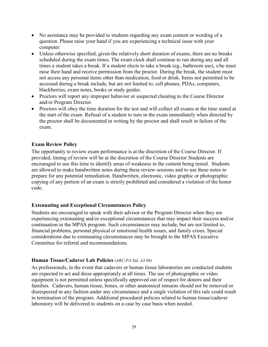- No assistance may be provided to students regarding any exam content or wording of a question. Please raise your hand if you are experiencing a technical issue with your computer.
- Unless otherwise specified, given the relatively short duration of exams, there are no breaks scheduled during the exam times. The exam clock shall continue to run during any and all times a student takes a break. If a student elects to take a break (eg., bathroom use), s/he must raise their hand and receive permission from the proctor. During the break, the student must not access any personal items other than medication, food or drink. Items not permitted to be accessed during a break include, but are not limited to, cell phones, PDAs, computers, blackberries, exam notes, books or study guides.
- Proctors will report any improper behavior or suspected cheating to the Course Director and/or Program Director.
- Proctors will obey the time duration for the test and will collect all exams at the time stated at the start of the exam. Refusal of a student to turn in the exam immediately when directed by the proctor shall be documented in writing by the proctor and shall result in failure of the exam.

# <span id="page-28-0"></span>**Exam Review Policy**

The opportunity to review exam performance is at the discretion of the Course Director. If provided, timing of review will be at the discretion of the Course Director Students are encouraged to use this time to identify areas of weakness in the content being tested. Students are allowed to make handwritten notes during these review sessions and to use these notes to prepare for any potential remediation. Handwritten, electronic, video graphic or photographic copying of any portion of an exam is strictly prohibited and considered a violation of the honor code.

# <span id="page-28-1"></span>**Extenuating and Exceptional Circumstances Policy**

Students are encouraged to speak with their advisor or the Program Director when they are experiencing extenuating and/or exceptional circumstances that may impact their success and/or continuation in the MPAS program. Such circumstances may include, but are not limited to, financial problems, personal physical or emotional health issues, and family crises. Special considerations due to extenuating circumstances may be brought to the MPAS Executive Committee for referral and recommendations.

# <span id="page-28-2"></span>**Human Tissue/Cadaver Lab Policies** *(ARC-PA Std. A3.08)*

As professionals, in the event that cadavers or human tissue laboratories are conducted students are expected to act and dress appropriately at all times. The use of photographic or video equipment is not permitted unless specifically approved out of respect for donors and their families. Cadavers, human tissue, bones, or other anatomical remains should not be removed or disrespected in any fashion under any circumstance and a single violation of this rule could result in termination of the program. Additional procedural policies related to human tissue/cadaver laboratory will be delivered to students on a case by case basis when needed.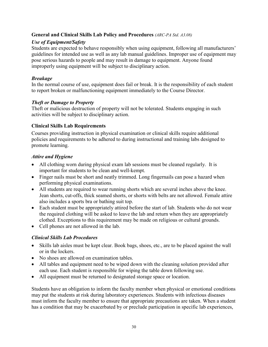# <span id="page-29-0"></span>**General and Clinical Skills Lab Policy and Procedures** *(ARC-PA Std. A3.08)*

# *Use of Equipment/Safety*

Students are expected to behave responsibly when using equipment, following all manufacturers' guidelines for intended use as well as any lab manual guidelines. Improper use of equipment may pose serious hazards to people and may result in damage to equipment. Anyone found improperly using equipment will be subject to disciplinary action.

# *Breakage*

In the normal course of use, equipment does fail or break. It is the responsibility of each student to report broken or malfunctioning equipment immediately to the Course Director.

# *Theft or Damage to Property*

Theft or malicious destruction of property will not be tolerated. Students engaging in such activities will be subject to disciplinary action.

# <span id="page-29-1"></span>**Clinical Skills Lab Requirements**

Courses providing instruction in physical examination or clinical skills require additional policies and requirements to be adhered to during instructional and training labs designed to promote learning.

# <span id="page-29-2"></span>*Attire and Hygiene*

- All clothing worn during physical exam lab sessions must be cleaned regularly. It is important for students to be clean and well-kempt.
- Finger nails must be short and neatly trimmed. Long fingernails can pose a hazard when performing physical examinations.
- All students are required to wear running shorts which are several inches above the knee. Jean shorts, cut-offs, thick seamed shorts, or shorts with belts are not allowed. Female attire also includes a sports bra or bathing suit top.
- Each student must be appropriately attired before the start of lab. Students who do not wear the required clothing will be asked to leave the lab and return when they are appropriately clothed. Exceptions to this requirement may be made on religious or cultural grounds.
- Cell phones are not allowed in the lab.

# <span id="page-29-3"></span>*Clinical Skills Lab Procedures*

- Skills lab aisles must be kept clear. Book bags, shoes, etc., are to be placed against the wall or in the lockers.
- No shoes are allowed on examination tables.
- All tables and equipment need to be wiped down with the cleaning solution provided after each use. Each student is responsible for wiping the table down following use.
- All equipment must be returned to designated storage space or location.

Students have an obligation to inform the faculty member when physical or emotional conditions may put the students at risk during laboratory experiences. Students with infectious diseases must inform the faculty member to ensure that appropriate precautions are taken. When a student has a condition that may be exacerbated by or preclude participation in specific lab experiences,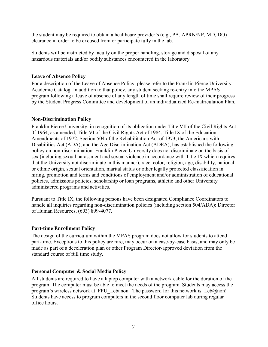the student may be required to obtain a healthcare provider's (e.g., PA, APRN/NP, MD, DO) clearance in order to be excused from or participate fully in the lab.

Students will be instructed by faculty on the proper handling, storage and disposal of any hazardous materials and/or bodily substances encountered in the laboratory.

#### <span id="page-30-0"></span>**Leave of Absence Policy**

For a description of the Leave of Absence Policy, please refer to the Franklin Pierce University Academic Catalog. In addition to that policy, any student seeking re-entry into the MPAS program following a leave of absence of any length of time shall require review of their progress by the Student Progress Committee and development of an individualized Re-matriculation Plan.

#### <span id="page-30-1"></span>**Non-Discrimination Policy**

Franklin Pierce University, in recognition of its obligation under Title VII of the Civil Rights Act 0f 1964, as amended, Title VI of the Civil Rights Act of 1984, Title IX of the Education Amendments of 1972, Section 504 of the Rehabilitation Act of 1973, the Americans with Disabilities Act (ADA), and the Age Discrimination Act (ADEA), has established the following policy on non-discrimination: Franklin Pierce University does not discriminate on the basis of sex (including sexual harassment and sexual violence in accordance with Title IX which requires that the University not discriminate in this manner), race, color, religion, age, disability, national or ethnic origin, sexual orientation, marital status or other legally protected classification in hiring, promotion and terms and conditions of employment and/or administration of educational policies, admissions policies, scholarship or loan programs, athletic and other University administered programs and activities.

Pursuant to Title IX, the following persons have been designated Compliance Coordinators to handle all inquiries regarding non-discrimination policies (including section 504/ADA): Director of Human Resources, (603) 899-4077.

# <span id="page-30-2"></span>**Part-time Enrollment Policy**

The design of the curriculum within the MPAS program does not allow for students to attend part-time. Exceptions to this policy are rare, may occur on a case-by-case basis, and may only be made as part of a deceleration plan or other Program Director-approved deviation from the standard course of full time study.

# <span id="page-30-3"></span>**Personal Computer & Social Media Policy**

All students are required to have a laptop computer with a network cable for the duration of the program. The computer must be able to meet the needs of the program. Students may access the program's wireless network at FPU Lebanon. The password for this network is: Leb $@$ non! Students have access to program computers in the second floor computer lab during regular office hours.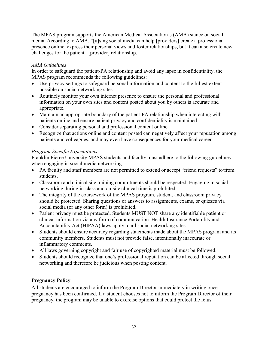The MPAS program supports the American Medical Association's (AMA) stance on social media. According to AMA, "[u]sing social media can help [providers] create a professional presence online, express their personal views and foster relationships, but it can also create new challenges for the patient– [provider] relationship."

# *AMA Guidelines*

In order to safeguard the patient-PA relationship and avoid any lapse in confidentiality, the MPAS program recommends the following guidelines:

- Use privacy settings to safeguard personal information and content to the fullest extent possible on social networking sites.
- Routinely monitor your own internet presence to ensure the personal and professional information on your own sites and content posted about you by others is accurate and appropriate.
- Maintain an appropriate boundary of the patient-PA relationship when interacting with patients online and ensure patient privacy and confidentiality is maintained.
- Consider separating personal and professional content online.
- Recognize that actions online and content posted can negatively affect your reputation among patients and colleagues, and may even have consequences for your medical career.

# *Program-Specific Expectations*

Franklin Pierce University MPAS students and faculty must adhere to the following guidelines when engaging in social media networking:

- PA faculty and staff members are not permitted to extend or accept "friend requests" to/from students.
- Classroom and clinical site training commitments should be respected. Engaging in social networking during in-class and on-site clinical time is prohibited.
- The integrity of the coursework of the MPAS program, student, and classroom privacy should be protected. Sharing questions or answers to assignments, exams, or quizzes via social media (or any other form) is prohibited.
- Patient privacy must be protected. Students MUST NOT share any identifiable patient or clinical information via any form of communication. Health Insurance Portability and Accountability Act (HIPAA) laws apply to all social networking sites.
- Students should ensure accuracy regarding statements made about the MPAS program and its community members. Students must not provide false, intentionally inaccurate or inflammatory comments.
- All laws governing copyright and fair use of copyrighted material must be followed.
- Students should recognize that one's professional reputation can be affected through social networking and therefore be judicious when posting content.

# <span id="page-31-0"></span>**Pregnancy Policy**

All students are encouraged to inform the Program Director immediately in writing once pregnancy has been confirmed. If a student chooses not to inform the Program Director of their pregnancy, the program may be unable to exercise options that could protect the fetus.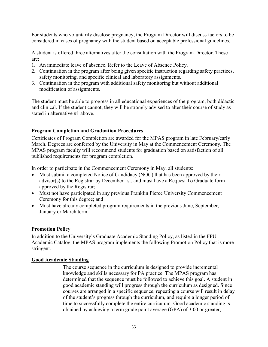For students who voluntarily disclose pregnancy, the Program Director will discuss factors to be considered in cases of pregnancy with the student based on acceptable professional guidelines.

A student is offered three alternatives after the consultation with the Program Director. These are:

- 1. An immediate leave of absence. Refer to the Leave of Absence Policy.
- 2. Continuation in the program after being given specific instruction regarding safety practices, safety monitoring, and specific clinical and laboratory assignments.
- 3. Continuation in the program with additional safety monitoring but without additional modification of assignments.

The student must be able to progress in all educational experiences of the program, both didactic and clinical. If the student cannot, they will be strongly advised to alter their course of study as stated in alternative #1 above.

# <span id="page-32-0"></span>**Program Completion and Graduation Procedures**

Certificates of Program Completion are awarded for the MPAS program in late February/early March. Degrees are conferred by the University in May at the Commencement Ceremony. The MPAS program faculty will recommend students for graduation based on satisfaction of all published requirements for program completion.

In order to participate in the Commencement Ceremony in May, all students:

- Must submit a completed Notice of Candidacy (NOC) that has been approved by their advisor(s) to the Registrar by December 1st, and must have a Request To Graduate form approved by the Registrar;
- Must not have participated in any previous Franklin Pierce University Commencement Ceremony for this degree; and
- Must have already completed program requirements in the previous June, September, January or March term.

# <span id="page-32-1"></span>**Promotion Policy**

In addition to the University's Graduate Academic Standing Policy, as listed in the FPU Academic Catalog, the MPAS program implements the following Promotion Policy that is more stringent.

#### <span id="page-32-2"></span>**Good Academic Standing**

The course sequence in the curriculum is designed to provide incremental knowledge and skills necessary for PA practice. The MPAS program has determined that the sequence must be followed to achieve this goal. A student in good academic standing will progress through the curriculum as designed. Since courses are arranged in a specific sequence, repeating a course will result in delay of the student's progress through the curriculum, and require a longer period of time to successfully complete the entire curriculum. Good academic standing is obtained by achieving a term grade point average (GPA) of 3.00 or greater,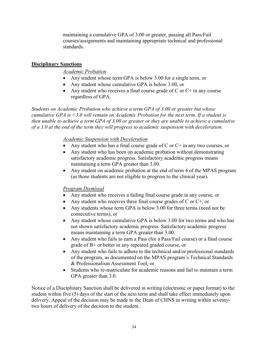maintaining a cumulative GPA of 3.00 or greater, passing all Pass/Fail courses/assignments and maintaining appropriate technical and professional standards.

# <span id="page-33-0"></span>**Disciplinary Sanctions**

# *Academic Probation*

- Any student whose term GPA is below 3.00 for a single term, or
- Any student whose cumulative GPA is below 3.00, or
- Any student who receives a final course grade of C or  $C^+$  in any course regardless of GPA.

*Students on Academic Probation who achieve a term GPA of 3.00 or greater but whose cumulative GPA is <3.0 will remain on Academic Probation for the next term. If a student is then unable to achieve a term GPA of 3.00 or greater or they are unable to achieve a cumulative of a 3.0 at the end of the term they will progress to academic suspension with deceleration.* 

# *Academic Suspension with Deceleration*

- Any student who has a final course grade of C or  $C^+$  in any two courses, or
- Any student who has been on academic probation without demonstrating satisfactory academic progress. Satisfactory academic progress means maintaining a term GPA greater than 3.00.
- Any student on academic probation at the end of term 4 of the MPAS program (as those students are not eligible to progress to the clinical year).

# *Program Dismissal*

- Any student who receives a failing final course grade in any course, or
- Any student who receives three final course grades of C or  $C^+$ , or
- Any students whose term GPA is below 3.00 for three terms (need not be consecutive terms), or
- Any student whose cumulative GPA is below 3.00 for two terms and who has not shown satisfactory academic progress. Satisfactory academic progress means maintaining a term GPA greater than 3.00.
- Any student who fails to earn a Pass (for a Pass/Fail course) or a final course grade of B+ or better in any repeated graded course, or
- Any student who fails to adhere to the technical and/or professional standards of the program, as documented on the MPAS program's Technical Standards & Professionalism Assessment Tool, or
- Students who re-matriculate for academic reasons and fail to maintain a term GPA greater than 3.0.

Notice of a Disciplinary Sanction shall be delivered in writing (electronic or paper format) to the student within five (5) days of the start of the next term and shall take effect immediately upon delivery. Appeal of the decision may be made to the Dean of CHNS in writing within seventytwo hours of delivery of the decision to the student.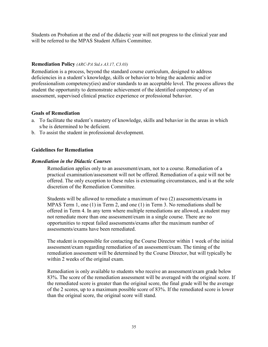Students on Probation at the end of the didactic year will not progress to the clinical year and will be referred to the MPAS Student Affairs Committee.

#### <span id="page-34-0"></span>**Remediation Policy** *(ARC-PA Std.s A3.17, C3.03)*

Remediation is a process, beyond the standard course curriculum, designed to address deficiencies in a student's knowledge, skills or behavior to bring the academic and/or professionalism competency(ies) and/or standards to an acceptable level. The process allows the student the opportunity to demonstrate achievement of the identified competency of an assessment, supervised clinical practice experience or professional behavior.

#### <span id="page-34-1"></span>**Goals of Remediation**

- a. To facilitate the student's mastery of knowledge, skills and behavior in the areas in which s/he is determined to be deficient.
- b. To assist the student in professional development.

#### <span id="page-34-2"></span>**Guidelines for Remediation**

#### <span id="page-34-3"></span>*Remediation in the Didactic Courses*

Remediation applies only to an assessment/exam, not to a course. Remediation of a practical examination/assessment will not be offered. Remediation of a quiz will not be offered. The only exception to these rules is extenuating circumstances, and is at the sole discretion of the Remediation Committee.

Students will be allowed to remediate a maximum of two (2) assessments/exams in MPAS Term 1, one (1) in Term 2, and one (1) in Term 3. No remediations shall be offered in Term 4. In any term where multiple remediations are allowed, a student may not remediate more than one assessment/exam in a single course. There are no opportunities to repeat failed assessments/exams after the maximum number of assessments/exams have been remediated.

The student is responsible for contacting the Course Director within 1 week of the initial assessment/exam regarding remediation of an assessment/exam. The timing of the remediation assessment will be determined by the Course Director, but will typically be within 2 weeks of the original exam.

Remediation is only available to students who receive an assessment/exam grade below 83%. The score of the remediation assessment will be averaged with the original score. If the remediated score is greater than the original score, the final grade will be the average of the 2 scores, up to a maximum possible score of 83%. If the remediated score is lower than the original score, the original score will stand.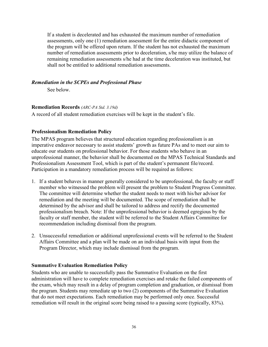If a student is decelerated and has exhausted the maximum number of remediation assessments, only one (1) remediation assessment for the entire didactic component of the program will be offered upon return. If the student has not exhausted the maximum number of remediation assessments prior to deceleration, s/he may utilize the balance of remaining remediation assessments s/he had at the time deceleration was instituted, but shall not be entitled to additional remediation assessments.

#### <span id="page-35-0"></span>*Remediation in the SCPEs and Professional Phase*

See below.

#### <span id="page-35-1"></span>**Remediation Records** *(ARC-PA Std. 3.19d)*

A record of all student remediation exercises will be kept in the student's file.

# <span id="page-35-2"></span>**Professionalism Remediation Policy**

The MPAS program believes that structured education regarding professionalism is an imperative endeavor necessary to assist students' growth as future PAs and to meet our aim to educate our students on professional behavior. For those students who behave in an unprofessional manner, the behavior shall be documented on the MPAS Technical Standards and Professionalism Assessment Tool, which is part of the student's permanent file/record. Participation in a mandatory remediation process will be required as follows:

- 1. If a student behaves in manner generally considered to be unprofessional, the faculty or staff member who witnessed the problem will present the problem to Student Progress Committee. The committee will determine whether the student needs to meet with his/her advisor for remediation and the meeting will be documented. The scope of remediation shall be determined by the advisor and shall be tailored to address and rectify the documented professionalism breach. Note: If the unprofessional behavior is deemed egregious by the faculty or staff member, the student will be referred to the Student Affairs Committee for recommendation including dismissal from the program.
- 2. Unsuccessful remediation or additional unprofessional events will be referred to the Student Affairs Committee and a plan will be made on an individual basis with input from the Program Director, which may include dismissal from the program.

# <span id="page-35-3"></span>**Summative Evaluation Remediation Policy**

Students who are unable to successfully pass the Summative Evaluation on the first administration will have to complete remediation exercises and retake the failed components of the exam, which may result in a delay of program completion and graduation, or dismissal from the program. Students may remediate up to two (2) components of the Summative Evaluation that do not meet expectations. Each remediation may be performed only once. Successful remediation will result in the original score being raised to a passing score (typically, 83%).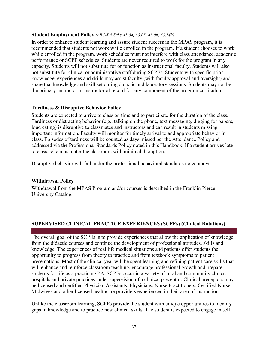#### <span id="page-36-0"></span>**Student Employment Policy** *(ARC-PA Std.s A3.04, A3.05, A3.06, A3.14h)*

In order to enhance student learning and assure student success in the MPAS program, it is recommended that students not work while enrolled in the program. If a student chooses to work while enrolled in the program, work schedules must not interfere with class attendance, academic performance or SCPE schedules. Students are never required to work for the program in any capacity. Students will not substitute for or function as instructional faculty. Students will also not substitute for clinical or administrative staff during SCPEs. Students with specific prior knowledge, experiences and skills may assist faculty (with faculty approval and oversight) and share that knowledge and skill set during didactic and laboratory sessions. Students may not be the primary instructor or instructor of record for any component of the program curriculum.

#### <span id="page-36-1"></span>**Tardiness & Disruptive Behavior Policy**

Students are expected to arrive to class on time and to participate for the duration of the class. Tardiness or distracting behavior (e.g., talking on the phone, text messaging, digging for papers, loud eating) is disruptive to classmates and instructors and can result in students missing important information. Faculty will monitor for timely arrival to and appropriate behavior in class. Episodes of tardiness will be counted as days missed per the Attendance Policy and addressed via the Professional Standards Policy noted in this Handbook. If a student arrives late to class, s/he must enter the classroom with minimal disruption.

Disruptive behavior will fall under the professional behavioral standards noted above.

#### <span id="page-36-2"></span>**Withdrawal Policy**

Withdrawal from the MPAS Program and/or courses is described in the Franklin Pierce University Catalog.

# <span id="page-36-3"></span>**SUPERVISED CLINICAL PRACTICE EXPERIENCES (SCPEs) (Clinical Rotations)**

The overall goal of the SCPEs is to provide experiences that allow the application of knowledge from the didactic courses and continue the development of professional attitudes, skills and knowledge. The experiences of real life medical situations and patients offer students the opportunity to progress from theory to practice and from textbook symptoms to patient presentations. Most of the clinical year will be spent learning and refining patient care skills that will enhance and reinforce classroom teaching, encourage professional growth and prepare students for life as a practicing PA. SCPEs occur in a variety of rural and community clinics, hospitals and private practices under supervision of a clinical preceptor. Clinical preceptors may be licensed and certified Physician Assistants, Physicians, Nurse Practitioners, Certified Nurse Midwives and other licensed healthcare providers experienced in their area of instruction.

Unlike the classroom learning, SCPEs provide the student with unique opportunities to identify gaps in knowledge and to practice new clinical skills. The student is expected to engage in self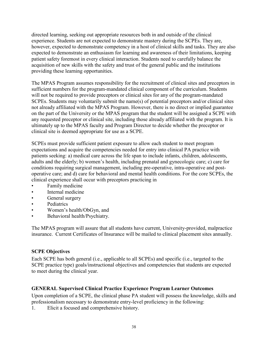directed learning, seeking out appropriate resources both in and outside of the clinical experience. Students are not expected to demonstrate mastery during the SCPEs. They are, however, expected to demonstrate competency in a host of clinical skills and tasks. They are also expected to demonstrate an enthusiasm for learning and awareness of their limitations, keeping patient safety foremost in every clinical interaction. Students need to carefully balance the acquisition of new skills with the safety and trust of the general public and the institutions providing these learning opportunities.

The MPAS Program assumes responsibility for the recruitment of clinical sites and preceptors in sufficient numbers for the program-mandated clinical component of the curriculum. Students will not be required to provide preceptors or clinical sites for any of the program-mandated SCPEs. Students may voluntarily submit the name(s) of potential preceptors and/or clinical sites not already affiliated with the MPAS Program. However, there is no direct or implied guarantee on the part of the University or the MPAS program that the student will be assigned a SCPE with any requested preceptor or clinical site, including those already affiliated with the program. It is ultimately up to the MPAS faculty and Program Director to decide whether the preceptor or clinical site is deemed appropriate for use as a SCPE.

SCPEs must provide sufficient patient exposure to allow each student to meet program expectations and acquire the competencies needed for entry into clinical PA practice with patients seeking: a) medical care across the life span to include infants, children, adolescents, adults and the elderly; b) women's health, including prenatal and gynecologic care; c) care for conditions requiring surgical management, including pre-operative, intra-operative and postoperative care; and d) care for behavioral and mental health conditions. For the core SCPEs, the clinical experience shall occur with preceptors practicing in

- Family medicine
- Internal medicine
- General surgery
- Pediatrics
- Women's health/ObGyn, and
- Behavioral health/Psychiatry.

The MPAS program will assure that all students have current, University-provided, malpractice insurance. Current Certificates of Insurance will be mailed to clinical placement sites annually.

# <span id="page-37-0"></span>**SCPE Objectives**

Each SCPE has both general (i.e., applicable to all SCPEs) and specific (i.e., targeted to the SCPE practice type) goals/instructional objectives and competencies that students are expected to meet during the clinical year.

# <span id="page-37-1"></span>**GENERAL Supervised Clinical Practice Experience Program Learner Outcomes**

Upon completion of a SCPE, the clinical phase PA student will possess the knowledge, skills and professionalism necessary to demonstrate entry-level proficiency in the following:

1. Elicit a focused and comprehensive history.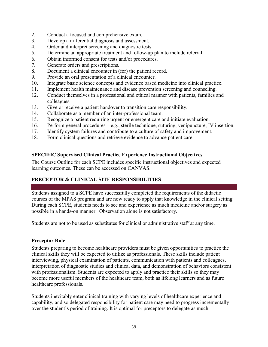- 2. Conduct a focused and comprehensive exam.
- 3. Develop a differential diagnosis and assessment.
- 4. Order and interpret screening and diagnostic tests.
- 5. Determine an appropriate treatment and follow-up plan to include referral.
- 6. Obtain informed consent for tests and/or procedures.
- 7. Generate orders and prescriptions.
- 8. Document a clinical encounter in (for) the patient record.
- 9. Provide an oral presentation of a clinical encounter.
- 10. Integrate basic science concepts and evidence based medicine into clinical practice.
- 11. Implement health maintenance and disease prevention screening and counseling.
- 12. Conduct themselves in a professional and ethical manner with patients, families and colleagues.
- 13. Give or receive a patient handover to transition care responsibility.
- 14. Collaborate as a member of an inter-professional team.
- 15. Recognize a patient requiring urgent or emergent care and initiate evaluation.
- 16. Perform general procedures e.g., sterile technique, suturing, venipuncture, IV insertion.
- 17. Identify system failures and contribute to a culture of safety and improvement.
- 18. Form clinical questions and retrieve evidence to advance patient care.

# <span id="page-38-0"></span>**SPECIFIC Supervised Clinical Practice Experience Instructional Objectives**

The Course Outline for each SCPE includes specific instructional objectives and expected learning outcomes. These can be accessed on CANVAS.

# <span id="page-38-1"></span>**PRECEPTOR & CLINICAL SITE RESPONSIBILITIES**

Students assigned to a SCPE have successfully completed the requirements of the didactic courses of the MPAS program and are now ready to apply that knowledge in the clinical setting. During each SCPE, students needs to see and experience as much medicine and/or surgery as possible in a hands-on manner. Observation alone is not satisfactory.

Students are not to be used as substitutes for clinical or administrative staff at any time.

# <span id="page-38-2"></span>**Preceptor Role**

Students preparing to become healthcare providers must be given opportunities to practice the clinical skills they will be expected to utilize as professionals. These skills include patient interviewing, physical examination of patients, communication with patients and colleagues, interpretation of diagnostic studies and clinical data, and demonstration of behaviors consistent with professionalism. Students are expected to apply and practice their skills so they may become more useful members of the healthcare team, both as lifelong learners and as future healthcare professionals.

Students inevitably enter clinical training with varying levels of healthcare experience and capability, and so delegated responsibility for patient care may need to progress incrementally over the student's period of training. It is optimal for preceptors to delegate as much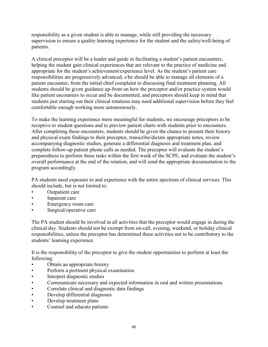responsibility as a given student is able to manage, while still providing the necessary supervision to ensure a quality learning experience for the student and the safety/well-being of patients.

A clinical preceptor will be a leader and guide in facilitating a student's patient encounters, helping the student gain clinical experiences that are relevant to the practice of medicine and appropriate for the student's achievement/experience level. As the student's patient care responsibilities are progressively advanced, s/he should be able to manage all elements of a patient encounter, from the initial chief complaint to discussing final treatment planning. All students should be given guidance up-front on how the preceptor and/or practice system would like patient encounters to occur and be documented, and preceptors should keep in mind that students just starting out their clinical rotations may need additional supervision before they feel comfortable enough working more autonomously.

To make the learning experience more meaningful for students, we encourage preceptors to be receptive to student questions and to preview patient charts with students prior to encounters. After completing these encounters, students should be given the chance to present their history and physical exam findings to their preceptor, transcribe/dictate appropriate notes, review accompanying diagnostic studies, generate a differential diagnosis and treatment plan, and complete follow-up patient phone calls as needed. The preceptor will evaluate the student's preparedness to perform these tasks within the first week of the SCPE, and evaluate the student's overall performance at the end of the rotation, and will send the appropriate documentation to the program accordingly.

PA students need exposure to and experience with the entire spectrum of clinical services. This should include, but is not limited to:

- Outpatient care
- Inpatient care
- Emergency room care
- Surgical/operative care

The PA student should be involved in all activities that the preceptor would engage in during the clinical day. Students should not be exempt from on-call, evening, weekend, or holiday clinical responsibilities, unless the preceptor has determined these activities not to be contributory to the students' learning experience.

It is the responsibility of the preceptor to give the student opportunities to perform at least the following:

- Obtain an appropriate history
- Perform a pertinent physical examination
- Interpret diagnostic studies
- Communicate necessary and expected information in oral and written presentations
- Correlate clinical and diagnostic data findings
- Develop differential diagnoses
- Develop treatment plans
- Counsel and educate patients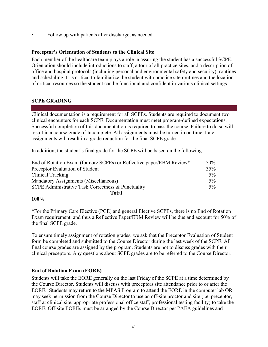Follow up with patients after discharge, as needed

#### <span id="page-40-0"></span>**Preceptor's Orientation of Students to the Clinical Site**

Each member of the healthcare team plays a role in assuring the student has a successful SCPE. Orientation should include introductions to staff, a tour of all practice sites, and a description of office and hospital protocols (including personal and environmental safety and security), routines and scheduling. It is critical to familiarize the student with practice site routines and the location of critical resources so the student can be functional and confident in various clinical settings.

#### <span id="page-40-1"></span>**SCPE GRADING**

Clinical documentation is a requirement for all SCPEs. Students are required to document two clinical encounters for each SCPE. Documentation must meet program-defined expectations. Successful completion of this documentation is required to pass the course. Failure to do so will result in a course grade of Incomplete. All assignments must be turned in on time. Late assignments will result in a grade reduction for the final SCPE grade.

In addition, the student's final grade for the SCPE will be based on the following:

| End of Rotation Exam (for core SCPEs) or Reflective paper/EBM Review* | $50\%$ |
|-----------------------------------------------------------------------|--------|
| Preceptor Evaluation of Student                                       | 35%    |
| Clinical Tracking                                                     | $5\%$  |
| Mandatory Assignments (Miscellaneous)                                 | $5\%$  |
| SCPE Administrative Task Correctness & Punctuality                    |        |
| <b>Total</b>                                                          |        |

#### **100%**

\*For the Primary Care Elective (PCE) and general Elective SCPEs, there is no End of Rotation Exam requirement, and thus a Reflective Paper/EBM Review will be due and account for 50% of the final SCPE grade.

To ensure timely assignment of rotation grades, we ask that the Preceptor Evaluation of Student form be completed and submitted to the Course Director during the last week of the SCPE. All final course grades are assigned by the program. Students are not to discuss grades with their clinical preceptors. Any questions about SCPE grades are to be referred to the Course Director.

# <span id="page-40-2"></span>**End of Rotation Exam (EORE)**

Students will take the EORE generally on the last Friday of the SCPE at a time determined by the Course Director. Students will discuss with preceptors site attendance prior to or after the EORE. Students may return to the MPAS Program to attend the EORE in the computer lab OR may seek permission from the Course Director to use an off-site proctor and site (i.e. preceptor, staff at clinical site, appropriate professional office staff, professional testing facility) to take the EORE. Off-site EOREs must be arranged by the Course Director per PAEA guidelines and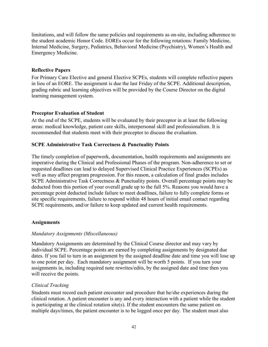limitations, and will follow the same policies and requirements as on-site, including adherence to the student academic Honor Code. EOREs occur for the following rotations: Family Medicine, Internal Medicine, Surgery, Pediatrics, Behavioral Medicine (Psychiatry), Women's Health and Emergency Medicine.

# <span id="page-41-0"></span>**Reflective Papers**

For Primary Care Elective and general Elective SCPEs, students will complete reflective papers in lieu of an EORE. The assignment is due the last Friday of the SCPE. Additional description, grading rubric and learning objectives will be provided by the Course Director on the digital learning management system.

# <span id="page-41-1"></span>**Preceptor Evaluation of Student**

At the end of the SCPE, students will be evaluated by their preceptor in at least the following areas: medical knowledge, patient care skills, interpersonal skill and professionalism. It is recommended that students meet with their preceptor to discuss the evaluation.

# **SCPE Administrative Task Correctness & Punctuality Points**

The timely completion of paperwork, documentation, health requirements and assignments are imperative during the Clinical and Professional Phases of the program. Non-adherence to set or requested deadlines can lead to delayed Supervised Clinical Practice Experiences (SCPEs) as well as may affect program progression. For this reason, a calculation of final grades includes SCPE Administrative Task Correctness & Punctuality points. Overall percentage points may be deducted from this portion of your overall grade up to the full 5%. Reasons you would have a percentage point deducted include failure to meet deadlines, failure to fully complete forms or site specific requirements, failure to respond within 48 hours of initial email contact regarding SCPE requirements, and/or failure to keep updated and current health requirements.

# <span id="page-41-2"></span>**Assignments**

# <span id="page-41-3"></span>*Mandatory Assignments (Miscellaneous)*

Mandatory Assignments are determined by the Clinical Course director and may vary by individual SCPE. Percentage points are earned by completing assignments by designated due dates. If you fail to turn in an assignment by the assigned deadline date and time you will lose up to one point per day. Each mandatory assignment will be worth 5 points. If you turn your assignments in, including required note rewrites/edits, by the assigned date and time then you will receive the points.

# <span id="page-41-4"></span>*Clinical Tracking*

Students must record each patient encounter and procedure that he/she experiences during the clinical rotation. A patient encounter is any and every interaction with a patient while the student is participating at the clinical rotation site(s). If the student encounters the same patient on multiple days/times, the patient encounter is to be logged once per day. The student must also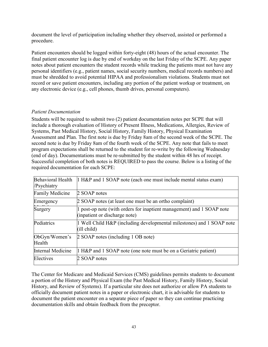document the level of participation including whether they observed, assisted or performed a procedure.

Patient encounters should be logged within forty-eight (48) hours of the actual encounter. The final patient encounter log is due by end of workday on the last Friday of the SCPE. Any paper notes about patient encounters the student records while tracking the patients must not have any personal identifiers (e.g., patient names, social security numbers, medical records numbers) and must be shredded to avoid potential HIPAA and professionalism violations. Students must not record or save patient encounters, including any portion of the patient workup or treatment, on any electronic device (e.g., cell phones, thumb drives, personal computers).

# <span id="page-42-0"></span>*Patient Documentation*

Students will be required to submit two (2) patient documentation notes per SCPE that will include a thorough evaluation of History of Present Illness, Medications, Allergies, Review of Systems, Past Medical History, Social History, Family History, Physical Examination Assessment and Plan. The first note is due by Friday 8am of the second week of the SCPE. The second note is due by Friday 8am of the fourth week of the SCPE. Any note that fails to meet program expectations shall be returned to the student for re-write by the following Wednesday (end of day). Documentations must be re-submitted by the student within 48 hrs of receipt. Successful completion of both notes is REQUIRED to pass the course. Below is a listing of the required documentation for each SCPE:

| Behavioral Health<br>/Psychiatry | 1 H&P and 1 SOAP note (each one must include mental status exam)                                     |
|----------------------------------|------------------------------------------------------------------------------------------------------|
| <b>Family Medicine</b>           | 2 SOAP notes                                                                                         |
| Emergency                        | 2 SOAP notes (at least one must be an ortho complaint)                                               |
| Surgery                          | post-op note (with orders for inaptient management) and 1 SOAP note<br>(inpatient or discharge note) |
| Pediatrics                       | 1 Well Child H&P (including developmental milestones) and 1 SOAP note<br>$(ill$ child)               |
| ObGyn/Women's<br>Health          | 2 SOAP notes (including 1 OB note)                                                                   |
| Internal Medicine                | 1 H&P and 1 SOAP note (one note must be on a Geriatric patient)                                      |
| Electives                        | 2 SOAP notes                                                                                         |

The Center for Medicare and Medicaid Services (CMS) guidelines permits students to document a portion of the History and Physical Exam (the Past Medical History, Family History, Social History, and Review of Systems). If a particular site does not authorize or allow PA students to officially document patient notes in a paper or electronic chart, it is advisable for students to document the patient encounter on a separate piece of paper so they can continue practicing documentation skills and obtain feedback from the preceptor.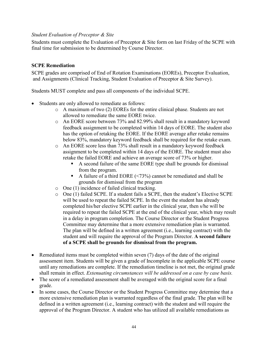#### <span id="page-43-0"></span>*Student Evaluation of Preceptor & Site*

Students must complete the Evaluation of Preceptor & Site form on last Friday of the SCPE with final time for submission to be determined by Course Director.

#### <span id="page-43-1"></span>**SCPE Remediation**

SCPE grades are comprised of End of Rotation Examinations (EOREs), Preceptor Evaluation, and Assignments (Clinical Tracking, Student Evaluation of Preceptor & Site Survey).

Students MUST complete and pass all components of the individual SCPE.

- Students are only allowed to remediate as follows:
	- o A maximum of two (2) EOREs for the entire clinical phase. Students are not allowed to remediate the same EORE twice.
	- o An EORE score between 73% and 82.99% shall result in a mandatory keyword feedback assignment to be completed within 14 days of EORE. The student also has the option of retaking the EORE. If the EORE average after retake remains below 83%, mandatory keyword feedback shall be required for the retake exam.
	- o An EORE score less than 73% shall result in a mandatory keyword feedback assignment to be completed within 14 days of the EORE. The student must also retake the failed EORE and achieve an average score of 73% or higher.
		- A second failure of the same EORE type shall be grounds for dismissal from the program.
		- A failure of a third EORE (<73%) cannot be remediated and shall be grounds for dismissal from the program
	- o One (1) incidence of failed clinical tracking.
	- o One (1) failed SCPE. If a student fails a SCPE, then the student's Elective SCPE will be used to repeat the failed SCPE. In the event the student has already completed his/her elective SCPE earlier in the clinical year, then s/he will be required to repeat the failed SCPE at the end of the clinical year, which may result in a delay in program completion. The Course Director or the Student Progress Committee may determine that a more extensive remediation plan is warranted. The plan will be defined in a written agreement (i.e., learning contract) with the student and will require the approval of the Program Director. **A second failure of a SCPE shall be grounds for dismissal from the program.**
- Remediated items must be completed within seven (7) days of the date of the original assessment item. Students will be given a grade of Incomplete in the applicable SCPE course until any remediations are complete. If the remediation timeline is not met, the original grade shall remain in effect. *Extenuating circumstances will be addressed on a case by case basis.*
- The score of a remediated assessment shall be averaged with the original score for a final grade.
- In some cases, the Course Director or the Student Progress Committee may determine that a more extensive remediation plan is warranted regardless of the final grade. The plan will be defined in a written agreement (i.e., learning contract) with the student and will require the approval of the Program Director. A student who has utilized all available remediations as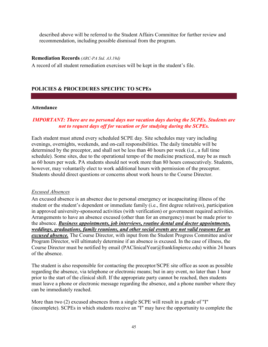described above will be referred to the Student Affairs Committee for further review and recommendation, including possible dismissal from the program.

#### <span id="page-44-0"></span>**Remediation Records** *(ARC-PA Std. A3.19d)*

A record of all student remediation exercises will be kept in the student's file.

#### <span id="page-44-1"></span>**POLICIES & PROCEDURES SPECIFIC TO SCPEs**

#### <span id="page-44-2"></span>**Attendance**

# *IMPORTANT: There are no personal days nor vacation days during the SCPEs. Students are not to request days off for vacation or for studying during the SCPEs.*

Each student must attend every scheduled SCPE day. Site schedules may vary including evenings, overnights, weekends, and on-call responsibilities. The daily timetable will be determined by the preceptor, and shall not be less than 40 hours per week (i.e., a full time schedule). Some sites, due to the operational tempo of the medicine practiced, may be as much as 60 hours per week. PA students should not work more than 80 hours consecutively. Students, however, may voluntarily elect to work additional hours with permission of the preceptor. Students should direct questions or concerns about work hours to the Course Director.

#### <span id="page-44-3"></span>*Excused Absences*

An excused absence is an absence due to personal emergency or incapacitating illness of the student or the student's dependent or immediate family (i.e., first degree relatives), participation in approved university-sponsored activities (with verification) or government required activities. Arrangements to have an absence excused (other than for an emergency) must be made prior to the absence. *Business appointments, job interviews, routine dental and doctor appointments, weddings, graduations, family reunions, and other social events are not valid reasons for an excused absence.* The Course Director, with input from the Student Progress Committee and/or Program Director, will ultimately determine if an absence is excused. In the case of illness, the Course Director must be notified by email (PAClinicalYear@franklinpierce.edu) within 24 hours of the absence.

The student is also responsible for contacting the preceptor/SCPE site office as soon as possible regarding the absence, via telephone or electronic means; but in any event, no later than 1 hour prior to the start of the clinical shift. If the appropriate party cannot be reached, then students must leave a phone or electronic message regarding the absence, and a phone number where they can be immediately reached.

More than two (2) excused absences from a single SCPE will result in a grade of "I" (incomplete). SCPEs in which students receive an "I" may have the opportunity to complete the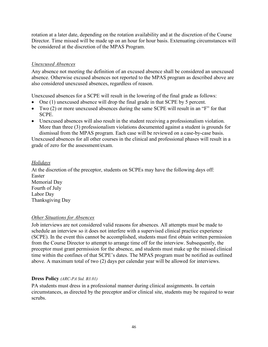rotation at a later date, depending on the rotation availability and at the discretion of the Course Director. Time missed will be made up on an hour for hour basis. Extenuating circumstances will be considered at the discretion of the MPAS Program.

# <span id="page-45-0"></span>*Unexcused Absences*

Any absence not meeting the definition of an excused absence shall be considered an unexcused absence. Otherwise excused absences not reported to the MPAS program as described above are also considered unexcused absences, regardless of reason.

Unexcused absences for a SCPE will result in the lowering of the final grade as follows:

- One (1) unexcused absence will drop the final grade in that SCPE by 5 percent.
- Two (2) or more unexcused absences during the same SCPE will result in an "F" for that SCPE.
- Unexcused absences will also result in the student receiving a professionalism violation. More than three (3) professionalism violations documented against a student is grounds for dismissal from the MPAS program. Each case will be reviewed on a case-by-case basis.

Unexcused absences for all other courses in the clinical and professional phases will result in a grade of zero for the assessment/exam.

# <span id="page-45-1"></span>*Holidays*

At the discretion of the preceptor, students on SCPEs may have the following days off: Easter Memorial Day Fourth of July Labor Day Thanksgiving Day

# <span id="page-45-2"></span>*Other Situations for Absences*

Job interviews are not considered valid reasons for absences. All attempts must be made to schedule an interview so it does not interfere with a supervised clinical practice experience (SCPE). In the event this cannot be accomplished, students must first obtain written permission from the Course Director to attempt to arrange time off for the interview. Subsequently, the preceptor must grant permission for the absence, and students must make up the missed clinical time within the confines of that SCPE's dates. The MPAS program must be notified as outlined above. A maximum total of two (2) days per calendar year will be allowed for interviews.

# <span id="page-45-3"></span>**Dress Policy** *(ARC-PA Std. B3.01)*

PA students must dress in a professional manner during clinical assignments. In certain circumstances, as directed by the preceptor and/or clinical site, students may be required to wear scrubs.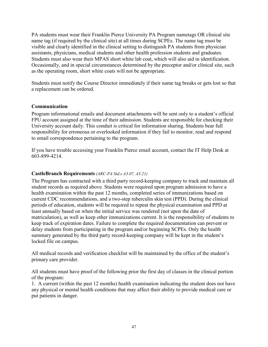PA students must wear their Franklin Pierce University PA Program nametags OR clinical site name tag (if required by the clinical site) at all times during SCPEs. The name tag must be visible and clearly identified in the clinical setting to distinguish PA students from physician assistants, physicians, medical students and other health profession students and graduates. Students must also wear their MPAS short white lab coat, which will also aid in identification. Occasionally, and in special circumstances determined by the preceptor and/or clinical site, such as the operating room, short white coats will not be appropriate.

Students must notify the Course Director immediately if their name tag breaks or gets lost so that a replacement can be ordered.

#### <span id="page-46-0"></span>**Communication**

Program informational emails and document attachments will be sent only to a student's official FPU account assigned at the time of their admission. Students are responsible for checking their University account daily. This conduit is critical for information sharing. Students bear full responsibility for erroneous or overlooked information if they fail to monitor, read and respond to email correspondence pertaining to the program.

If you have trouble accessing your Franklin Pierce email account, contact the IT Help Desk at 603-899-4214.

#### <span id="page-46-1"></span>**CastleBranch Requirements** *(ARC-PA Std.s A3.07, A3.21)*

The Program has contracted with a third party record-keeping company to track and maintain all student records as required above. Students were required upon program admission to have a health examination within the past 12 months, completed series of immunizations based on current CDC recommendations, and a two-step tuberculin skin test (PPD). During the clinical periods of education, students will be required to repeat the physical examination and PPD at least annually based on when the initial service was rendered (not upon the date of matriculation), as well as keep other immunizations current. It is the responsibility of students to keep track of expiration dates. Failure to complete the required documentation can prevent or delay students from participating in the program and/or beginning SCPEs. Only the health summary generated by the third party record-keeping company will be kept in the student's locked file on campus.

All medical records and verification checklist will be maintained by the office of the student's primary care provider.

All students must have proof of the following prior the first day of classes in the clinical portion of the program:

1. A current (within the past 12 months) health examination indicating the student does not have any physical or mental health conditions that may affect their ability to provide medical care or put patients in danger.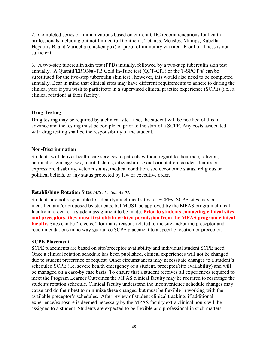2. Completed series of immunizations based on current CDC recommendations for health professionals including but not limited to Diphtheria, Tetanus, Measles, Mumps, Rubella, Hepatitis B, and Varicella (chicken pox) or proof of immunity via titer. Proof of illness is not sufficient.

3. A two-step tuberculin skin test (PPD) initially, followed by a two-step tuberculin skin test annually. A QuantiFERON®-TB Gold In-Tube test (QFT-GIT) or the T-SPOT ® can be substituted for the two-step tuberculin skin test ; however, this would also need to be completed annually. Bear in mind that clinical sites may have different requirements to adhere to during the clinical year if you wish to participate in a supervised clinical practice experience (SCPE) (i.e., a clinical rotation) at their facility.

# <span id="page-47-0"></span>**Drug Testing**

Drug testing may be required by a clinical site. If so, the student will be notified of this in advance and the testing must be completed prior to the start of a SCPE. Any costs associated with drug testing shall be the responsibility of the student.

#### <span id="page-47-1"></span>**Non-Discrimination**

Students will deliver health care services to patients without regard to their race, religion, national origin, age, sex, marital status, citizenship, sexual orientation, gender identity or expression, disability, veteran status, medical condition, socioeconomic status, religious or political beliefs, or any status protected by law or executive order.

# <span id="page-47-2"></span>**Establishing Rotation Sites** *(ARC-PA Std. A3.03)*

Students are not responsible for identifying clinical sites for SCPEs. SCPE sites may be identified and/or proposed by students, but MUST be approved by the MPAS program clinical faculty in order for a student assignment to be made. **Prior to students contacting clinical sites and preceptors, they must first obtain written permission from the MPAS program clinical faculty.** Sites can be "rejected" for many reasons related to the site and/or the preceptor and recommendations in no way guarantee SCPE placement to a specific location or preceptor.

#### **SCPE Placement**

SCPE placements are based on site/preceptor availability and individual student SCPE need. Once a clinical rotation schedule has been published, clinical experiences will not be changed due to student preference or request. Other circumstances may necessitate changes to a student's scheduled SCPE (i.e. severe health emergency of a student, preceptor/site availability) and will be managed on a case-by case basis. To ensure that a student receives all experiences required to meet the Program Learner Outcomes the MPAS clinical faculty may be required to rearrange the students rotation schedule. Clinical faculty understand the inconvenience schedule changes may cause and do their best to minimize these changes, but must be flexible in working with the available preceptor's schedules. After review of student clinical tracking, if additional experience/exposure is deemed necessary by the MPAS faculty extra clinical hours will be assigned to a student. Students are expected to be flexible and professional in such matters.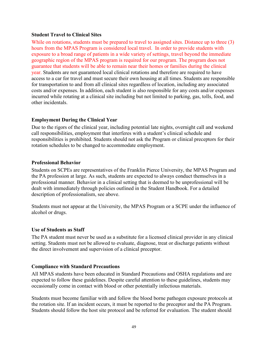#### <span id="page-48-0"></span>**Student Travel to Clinical Sites**

While on rotations, students must be prepared to travel to assigned sites. Distance up to three (3) hours from the MPAS Program is considered local travel. In order to provide students with exposure to a broad range of patients in a wide variety of settings, travel beyond the immediate geographic region of the MPAS program is required for our program. The program does not guarantee that students will be able to remain near their homes or families during the clinical year. Students are not guaranteed local clinical rotations and therefore are required to have access to a car for travel and must secure their own housing at all times. Students are responsible for transportation to and from all clinical sites regardless of location, including any associated costs and/or expenses. In addition, each student is also responsible for any costs and/or expenses incurred while rotating at a clinical site including but not limited to parking, gas, tolls, food, and other incidentals.

# <span id="page-48-1"></span>**Employment During the Clinical Year**

Due to the rigors of the clinical year, including potential late nights, overnight call and weekend call responsibilities, employment that interferes with a student's clinical schedule and responsibilities is prohibited. Students should not ask the Program or clinical preceptors for their rotation schedules to be changed to accommodate employment.

#### <span id="page-48-2"></span>**Professional Behavior**

Students on SCPEs are representatives of the Franklin Pierce University, the MPAS Program and the PA profession at large. As such, students are expected to always conduct themselves in a professional manner. Behavior in a clinical setting that is deemed to be unprofessional will be dealt with immediately through policies outlined in the Student Handbook. For a detailed description of professionalism, see above.

Students must not appear at the University, the MPAS Program or a SCPE under the influence of alcohol or drugs.

#### <span id="page-48-3"></span>**Use of Students as Staff**

The PA student must never be used as a substitute for a licensed clinical provider in any clinical setting. Students must not be allowed to evaluate, diagnose, treat or discharge patients without the direct involvement and supervision of a clinical preceptor.

# <span id="page-48-4"></span>**Compliance with Standard Precautions**

All MPAS students have been educated in Standard Precautions and OSHA regulations and are expected to follow these guidelines. Despite careful attention to these guidelines, students may occasionally come in contact with blood or other potentially infectious materials.

Students must become familiar with and follow the blood borne pathogen exposure protocols at the rotation site. If an incident occurs, it must be reported to the preceptor and the PA Program. Students should follow the host site protocol and be referred for evaluation. The student should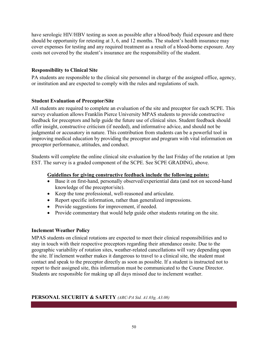have serologic HIV/HBV testing as soon as possible after a blood/body fluid exposure and there should be opportunity for retesting at 3, 6, and 12 months. The student's health insurance may cover expenses for testing and any required treatment as a result of a blood-borne exposure. Any costs not covered by the student's insurance are the responsibility of the student.

# <span id="page-49-0"></span>**Responsibility to Clinical Site**

PA students are responsible to the clinical site personnel in charge of the assigned office, agency, or institution and are expected to comply with the rules and regulations of such.

# <span id="page-49-1"></span>**Student Evaluation of Preceptor/Site**

All students are required to complete an evaluation of the site and preceptor for each SCPE. This survey evaluation allows Franklin Pierce University MPAS students to provide constructive feedback for preceptors and help guide the future use of clinical sites. Student feedback should offer insight, constructive criticism (if needed), and informative advice, and should not be judgmental or accusatory in nature. This contribution from students can be a powerful tool in improving medical education by providing the preceptor and program with vital information on preceptor performance, attitudes, and conduct.

Students will complete the online clinical site evaluation by the last Friday of the rotation at 1pm EST. The survey is a graded component of the SCPE. See SCPE GRADING, above.

# **Guidelines for giving constructive feedback include the following points:**

- Base it on first-hand, personally observed/experiential data (and not on second-hand knowledge of the preceptor/site).
- Keep the tone professional, well-reasoned and articulate.
- Report specific information, rather than generalized impressions.
- Provide suggestions for improvement, if needed.
- Provide commentary that would help guide other students rotating on the site.

# <span id="page-49-2"></span>**Inclement Weather Policy**

MPAS students on clinical rotations are expected to meet their clinical responsibilities and to stay in touch with their respective preceptors regarding their attendance onsite. Due to the geographic variability of rotation sites, weather-related cancellations will vary depending upon the site. If inclement weather makes it dangerous to travel to a clinical site, the student must contact and speak to the preceptor directly as soon as possible. If a student is instructed not to report to their assigned site, this information must be communicated to the Course Director. Students are responsible for making up all days missed due to inclement weather.

# <span id="page-49-3"></span>**PERSONAL SECURITY & SAFETY** *(ARC-PA Std. A1.03g, A3.08)*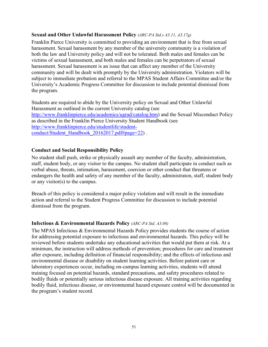#### <span id="page-50-0"></span>**Sexual and Other Unlawful Harassment Policy** *(ARC-PA Std.s A3.11, A3.17g)*

Franklin Pierce University is committed to providing an environment that is free from sexual harassment. Sexual harassment by any member of the university community is a violation of both the law and University policy and will not be tolerated. Both males and females can be victims of sexual harassment, and both males and females can be perpetrators of sexual harassment. Sexual harassment is an issue that can affect any member of the University community and will be dealt with promptly by the University administration. Violators will be subject to immediate probation and referral to the MPAS Student Affairs Committee and/or the University's Academic Progress Committee for discussion to include potential dismissal from the program.

Students are required to abide by the University policy on Sexual and Other Unlawful Harassment as outlined in the current University catalog (see [http://www.franklinpierce.edu/academics/ugrad/catalog.htm\)](http://www.franklinpierce.edu/academics/ugrad/catalog.htm) and the Sexual Misconduct Policy as described in the Franklin Pierce University Student Handbook (see [http://www.franklinpierce.edu/studentlife/student](http://www.franklinpierce.edu/studentlife/student-conduct/Student_Handbook_20162017.pdf#page=22)[conduct/Student\\_Handbook\\_20162017.pdf#page=22\)](http://www.franklinpierce.edu/studentlife/student-conduct/Student_Handbook_20162017.pdf#page=22).

# <span id="page-50-1"></span>**Conduct and Social Responsibility Policy**

No student shall push, strike or physically assault any member of the faculty, administration, staff, student body, or any visitor to the campus. No student shall participate in conduct such as verbal abuse, threats, intimation, harassment, coercion or other conduct that threatens or endangers the health and safety of any member of the faculty, administraton, staff, student body or any visitor(s) to the campus.

Breach of this policy is considered a major policy violation and will result in the immediate action and referral to the Student Progress Committee for discussion to include potential dismissal from the program.

#### <span id="page-50-2"></span>**Infectious & Environmental Hazards Policy** *(ARC-PA Std. A3.08)*

The MPAS Infectious & Environmental Hazards Policy provides students the course of action for addressing potential exposure to infectious and environmental hazards. This policy will be reviewed before students undertake any educational activities that would put them at risk. At a minimum, the instruction will address methods of prevention; procedures for care and treatment after exposure, including definition of financial responsibility; and the effects of infectious and environmental disease or disability on student learning activities. Before patient care or laboratory experiences occur, including on-campus learning activities, students will attend training focused on potential hazards, standard precautions, and safety procedures related to bodily fluids or potentially serious infectious disease exposure. All training activities regarding bodily fluid, infectious disease, or environmental hazard exposure control will be documented in the program's student record.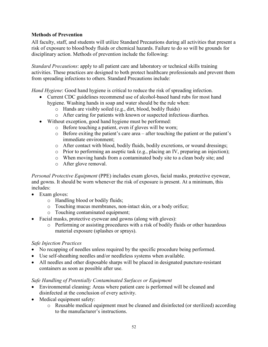# <span id="page-51-0"></span>**Methods of Prevention**

All faculty, staff, and students will utilize Standard Precautions during all activities that present a risk of exposure to blood/body fluids or chemical hazards. Failure to do so will be grounds for disciplinary action. Methods of prevention include the following:

*Standard Precautions*: apply to all patient care and laboratory or technical skills training activities. These practices are designed to both protect healthcare professionals and prevent them from spreading infections to others. Standard Precautions include:

*Hand Hygiene*: Good hand hygiene is critical to reduce the risk of spreading infection.

- Current CDC guidelines recommend use of alcohol-based hand rubs for most hand hygiene. Washing hands in soap and water should be the rule when:
	- o Hands are visibly soiled (e.g., dirt, blood, bodily fluids)
	- o After caring for patients with known or suspected infectious diarrhea.
- Without exception, good hand hygiene must be performed:
	- o Before touching a patient, even if gloves will be worn;
	- o Before exiting the patient's care area after touching the patient or the patient's immediate environment;
	- o After contact with blood, bodily fluids, bodily excretions, or wound dressings;
	- o Prior to performing an aseptic task (e.g., placing an IV, preparing an injection);
	- o When moving hands from a contaminated body site to a clean body site; and
	- o After glove removal.

*Personal Protective Equipment* (PPE) includes exam gloves, facial masks, protective eyewear, and gowns. It should be worn whenever the risk of exposure is present. At a minimum, this includes:

- Exam gloves:
	- o Handling blood or bodily fluids;
	- o Touching mucus membranes, non-intact skin, or a body orifice;
	- o Touching contaminated equipment;
- Facial masks, protective eyewear and gowns (along with gloves):
	- o Performing or assisting procedures with a risk of bodily fluids or other hazardous material exposure (splashes or sprays).

# *Safe Injection Practices*

- No recapping of needles unless required by the specific procedure being performed.
- Use self-sheathing needles and/or needleless systems when available.
- All needles and other disposable sharps will be placed in designated puncture-resistant containers as soon as possible after use.

# *Safe Handling of Potentially Contaminated Surfaces or Equipment*

- Environmental cleaning: Areas where patient care is performed will be cleaned and disinfected at the conclusion of every activity.
- Medical equipment safety:
	- o Reusable medical equipment must be cleaned and disinfected (or sterilized) according to the manufacturer's instructions.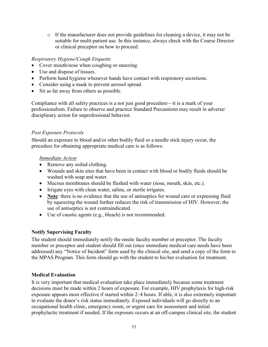o If the manufacturer does not provide guidelines for cleaning a device, it may not be suitable for multi-patient use. In this instance, always check with the Course Director or clinical preceptor on how to proceed.

# *Respiratory Hygiene/Cough Etiquette*

- Cover mouth/nose when coughing or sneezing.
- Use and dispose of tissues.
- Perform hand hygiene whenever hands have contact with respiratory secretions.
- Consider using a mask to prevent aerosol spread.
- Sit as far away from others as possible.

Compliance with all safety practices is a not just good procedure—it is a mark of your professionalism. Failure to observe and practice Standard Precautions may result in adverse/ disciplinary action for unprofessional behavior.

# <span id="page-52-0"></span>*Post Exposure Protocols*

Should an exposure to blood and/or other bodily fluid or a needle stick injury occur, the procedure for obtaining appropriate medical care is as follows:

# *Immediate Action*

- Remove any soiled clothing.
- Wounds and skin sites that have been in contact with blood or bodily fluids should be washed with soap and water.
- Mucous membranes should be flushed with water (nose, mouth, skin, etc.).
- Irrigate eyes with clean water, saline, or sterile irrigates.
- **Note**: there is no evidence that the use of antiseptics for wound care or expressing fluid by squeezing the wound further reduces the risk of transmission of HIV. However, the use of antiseptics is not contraindicated.
- Use of caustic agents (e.g., bleach) is not recommended.

# <span id="page-52-1"></span>**Notify Supervising Faculty**

The student should immediately notify the onsite faculty member or preceptor. The faculty member or preceptor and student should fill out (once immediate medical care needs have been addressed) any "Notice of Incident" form used by the clinical site, and send a copy of the form to the MPAS Program. This form should go with the student to his/her evaluation for treatment.

# <span id="page-52-2"></span>**Medical Evaluation**

It is very important that medical evaluation take place immediately because some treatment decisions must be made within 2 hours of exposure. For example, HIV prophylaxis for high-risk exposure appears most effective if started within 2–4 hours. If able, it is also extremely important to evaluate the donor's risk status immediately. Exposed individuals will go directly to an occupational health clinic, emergency room, or urgent care for assessment and initial prophylactic treatment if needed. If the exposure occurs at an off-campus clinical site, the student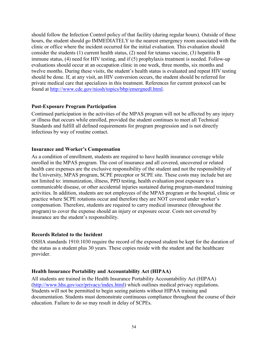should follow the Infection Control policy of that facility (during regular hours). Outside of these hours, the student should go IMMEDIATELY to the nearest emergency room associated with the clinic or office where the incident occurred for the initial evaluation. This evaluation should consider the students (1) current health status, (2) need for tetanus vaccine, (3) hepatitis B immune status, (4) need for HIV testing, and if (5) prophylaxis treatment is needed. Follow-up evaluations should occur at an occupation clinic in one week, three months, six months and twelve months. During these visits, the student's health status is evaluated and repeat HIV testing should be done. If, at any visit, an HIV conversion occurs, the student should be referred for private medical care that specializes in this treatment. References for current protocol can be found at [http://www.cdc.gov/niosh/topics/bbp/emergnedl.html.](http://www.cdc.gov/niosh/topics/bbp/emergnedl.html)

# <span id="page-53-0"></span>**Post-Exposure Program Participation**

Continued participation in the activities of the MPAS program will not be affected by any injury or illness that occurs while enrolled, provided the student continues to meet all Technical Standards and fulfill all defined requirements for program progression and is not directly infectious by way of routine contact.

#### <span id="page-53-1"></span>**Insurance and Worker's Compensation**

As a condition of enrollment, students are required to have health insurance coverage while enrolled in the MPAS program. The cost of insurance and all covered, uncovered or related health care expenses are the exclusive responsibility of the student and not the responsibility of the University, MPAS program, SCPE preceptor or SCPE site. These costs may include but are not limited to: immunization, illness, PPD testing, health evaluation post exposure to a communicable disease, or other accidental injuries sustained during program-mandated training activities. In addition, students are not employees of the MPAS program or the hospital, clinic or practice where SCPE rotations occur and therefore they are NOT covered under worker's compensation. Therefore, students are required to carry medical insurance (throughout the program) to cover the expense should an injury or exposure occur. Costs not covered by insurance are the student's responsibility.

# <span id="page-53-2"></span>**Records Related to the Incident**

OSHA standards 1910:1030 require the record of the exposed student be kept for the duration of the status as a student plus 30 years. These copies reside with the student and the healthcare provider.

# <span id="page-53-3"></span>**Health Insurance Portability and Accountability Act (HIPAA)**

All students are trained in the Health Insurance Portability Accountability Act (HIPAA) [\(http://www.hhs.gov/ocr/privacy/index.html\)](http://www.hhs.gov/ocr/privacy/index.html) which outlines medical privacy regulations. Students will not be permitted to begin seeing patients without HIPAA training and documentation. Students must demonstrate continuous compliance throughout the course of their education. Failure to do so may result in delay of SCPEs.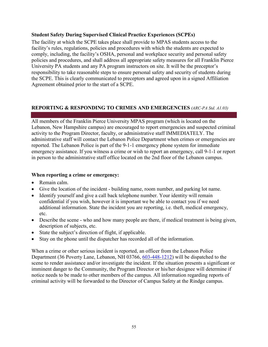#### <span id="page-54-0"></span>**Student Safety During Supervised Clinical Practice Experiences (SCPEs)**

The facility at which the SCPE takes place shall provide to MPAS students access to the facility's rules, regulations, policies and procedures with which the students are expected to comply, including, the facility's OSHA, personal and workplace security and personal safety policies and procedures, and shall address all appropriate safety measures for all Franklin Pierce University PA students and any PA program instructors on site. It will be the preceptor's responsibility to take reasonable steps to ensure personal safety and security of students during the SCPE. This is clearly communicated to preceptors and agreed upon in a signed Affiliation Agreement obtained prior to the start of a SCPE.

# <span id="page-54-1"></span>**REPORTING & RESPONDING TO CRIMES AND EMERGENCIES** *(ARC-PA Std. A1.03)*

All members of the Franklin Pierce University MPAS program (which is located on the Lebanon, New Hampshire campus) are encouraged to report emergencies and suspected criminal activity to the Program Director, faculty, or administrative staff IMMEDIATELY. The administrative staff will contact the Lebanon Police Department when crimes or emergencies are reported. The Lebanon Police is part of the 9-1-1 emergency phone system for immediate emergency assistance. If you witness a crime or wish to report an emergency, call 9-1-1 or report in person to the administrative staff office located on the 2nd floor of the Lebanon campus.

#### <span id="page-54-2"></span>**When reporting a crime or emergency:**

- Remain calm.
- Give the location of the incident building name, room number, and parking lot name.
- Identify yourself and give a call back telephone number. Your identity will remain confidential if you wish, however it is important we be able to contact you if we need additional information. State the incident you are reporting, i.e. theft, medical emergency, etc.
- Describe the scene who and how many people are there, if medical treatment is being given, description of subjects, etc.
- State the subject's direction of flight, if applicable.
- Stay on the phone until the dispatcher has recorded all of the information.

When a crime or other serious incident is reported, an officer from the Lebanon Police Department (36 Poverty Lane, Lebanon, NH 03766, [603-448-1212\)](javascript:void(0)) will be dispatched to the scene to render assistance and/or investigate the incident. If the situation presents a significant or imminent danger to the Community, the Program Director or his/her designee will determine if notice needs to be made to other members of the campus. All information regarding reports of criminal activity will be forwarded to the Director of Campus Safety at the Rindge campus.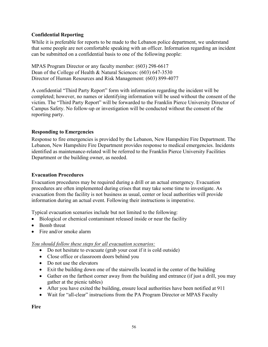# <span id="page-55-0"></span>**Confidential Reporting**

While it is preferable for reports to be made to the Lebanon police department, we understand that some people are not comfortable speaking with an officer. Information regarding an incident can be submitted on a confidential basis to one of the following people:

MPAS Program Director or any faculty member: (603) 298-6617 Dean of the College of Health & Natural Sciences: (603) 647-3530 Director of Human Resources and Risk Management: (603) 899-4077

A confidential "Third Party Report" form with information regarding the incident will be completed; however, no names or identifying information will be used without the consent of the victim. The "Third Party Report" will be forwarded to the Franklin Pierce University Director of Campus Safety. No follow-up or investigation will be conducted without the consent of the reporting party.

# <span id="page-55-1"></span>**Responding to Emergencies**

Response to fire emergencies is provided by the Lebanon, New Hampshire Fire Department. The Lebanon, New Hampshire Fire Department provides response to medical emergencies. Incidents identified as maintenance-related will be referred to the Franklin Pierce University Facilities Department or the building owner, as needed.

# <span id="page-55-2"></span>**Evacuation Procedures**

Evacuation procedures may be required during a drill or an actual emergency. Evacuation procedures are often implemented during crises that may take some time to investigate. As evacuation from the facility is not business as usual, center or local authorities will provide information during an actual event. Following their instructions is imperative.

Typical evacuation scenarios include but not limited to the following:

- Biological or chemical contaminant released inside or near the facility
- Bomb threat
- Fire and/or smoke alarm

# *You should follow these steps for all evacuation scenarios:*

- Do not hesitate to evacuate (grab your coat if it is cold outside)
- Close office or classroom doors behind you
- Do not use the elevators
- Exit the building down one of the stairwells located in the center of the building
- Gather on the farthest corner away from the building and entrance (if just a drill, you may gather at the picnic tables)
- After you have exited the building, ensure local authorities have been notified at 911
- Wait for "all-clear" instructions from the PA Program Director or MPAS Faculty

**Fire**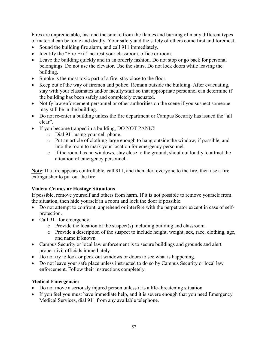Fires are unpredictable, fast and the smoke from the flames and burning of many different types of material can be toxic and deadly. Your safety and the safety of others come first and foremost.

- Sound the building fire alarm, and call 911 immediately.
- Identify the "Fire Exit" nearest your classroom, office or room.
- Leave the building quickly and in an orderly fashion. Do not stop or go back for personal belongings. Do not use the elevator. Use the stairs. Do not lock doors while leaving the building.
- Smoke is the most toxic part of a fire; stay close to the floor.
- Keep out of the way of firemen and police. Remain outside the building. After evacuating, stay with your classmates and/or faculty/staff so that appropriate personnel can determine if the building has been safely and completely evacuated.
- Notify law enforcement personnel or other authorities on the scene if you suspect someone may still be in the building.
- Do not re-enter a building unless the fire department or Campus Security has issued the "all" clear".
- If you become trapped in a building, DO NOT PANIC!
	- o Dial 911 using your cell phone.
	- o Put an article of clothing large enough to hang outside the window, if possible, and into the room to mark your location for emergency personnel.
	- o If the room has no windows, stay close to the ground; shout out loudly to attract the attention of emergency personnel.

**Note**: If a fire appears controllable, call 911, and then alert everyone to the fire, then use a fire extinguisher to put out the fire.

# **Violent Crimes or Hostage Situations**

If possible, remove yourself and others from harm. If it is not possible to remove yourself from the situation, then hide yourself in a room and lock the door if possible.

- Do not attempt to confront, apprehend or interfere with the perpetrator except in case of selfprotection.
- Call 911 for emergency.
	- o Provide the location of the suspect(s) including building and classroom.
	- o Provide a description of the suspect to include height, weight, sex, race, clothing, age, and name if known.
- Campus Security or local law enforcement is to secure buildings and grounds and alert proper civil officials immediately.
- Do not try to look or peek out windows or doors to see what is happening.
- Do not leave your safe place unless instructed to do so by Campus Security or local law enforcement. Follow their instructions completely.

# **Medical Emergencies**

- Do not move a seriously injured person unless it is a life-threatening situation.
- If you feel you must have immediate help, and it is severe enough that you need Emergency Medical Services, dial 911 from any available telephone.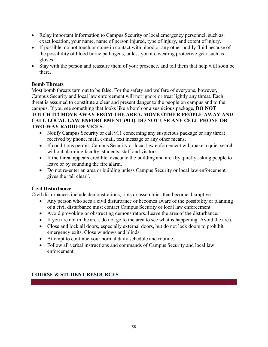- Relay important information to Campus Security or local emergency personnel, such as: exact location, your name, name of person injured, type of injury, and extent of injury.
- If possible, do not touch or come in contact with blood or any other bodily fluid because of the possibility of blood borne pathogens, unless you are wearing protective gear such as gloves.
- Stay with the person and reassure them of your presence, and tell them that help will soon be there.

# **Bomb Threats**

Most bomb threats turn out to be false. For the safety and welfare of everyone, however, Campus Security and local law enforcement will not ignore or treat lightly any threat. Each threat is assumed to constitute a clear and present danger to the people on campus and to the campus. If you see something that looks like a bomb or a suspicious package, **DO NOT TOUCH IT! MOVE AWAY FROM THE AREA, MOVE OTHER PEOPLE AWAY AND CALL LOCAL LAW ENFORCEMENT (911). DO NOT USE ANY CELL PHONE OR TWO-WAY RADIO DEVICES.**

- Notify Campus Security or call 911 concerning any suspicious package or any threat received by phone, mail, e-mail, text message or any other means.
- If conditions permit, Campus Security or local law enforcement will make a quiet search without alarming faculty, students, staff and visitors.
- If the threat appears credible, evacuate the building and area by quietly asking people to leave or by sounding the fire alarm.
- Do not re-enter an area or building unless Campus Security or local law enforcement gives the "all clear".

# **Civil Disturbance**

Civil disturbances include demonstrations, riots or assemblies that become disruptive.

- Any person who sees a civil disturbance or becomes aware of the possibility or planning of a civil disturbance must contact Campus Security or local law enforcement.
- Avoid provoking or obstructing demonstrators. Leave the area of the disturbance.
- If you are not in the area, do not go to the area to see what is happening. Avoid the area.
- Close and lock all doors, especially external doors, but do not lock doors to prohibit emergency exits. Close windows and blinds.
- Attempt to continue your normal daily schedule and routine.
- Follow all verbal instructions and commands of Campus Security and local law enforcement.

# <span id="page-57-0"></span>**COURSE & STUDENT RESOURCES**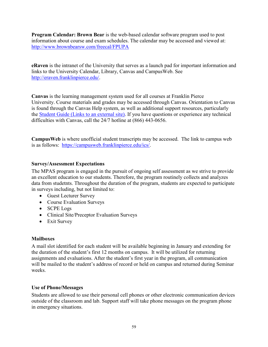<span id="page-58-0"></span>**Program Calendar: Brown Bear** is the web-based calendar software program used to post information about course and exam schedules. The calendar may be accessed and viewed at: <http://www.brownbearsw.com/freecal/FPUPA>

<span id="page-58-1"></span>**eRaven** is the intranet of the University that serves as a launch pad for important information and links to the University Calendar, Library, Canvas and CampusWeb. See [http://eraven.franklinpierce.edu/.](http://eraven.franklinpierce.edu/)

<span id="page-58-2"></span>**Canvas** is the learning management system used for all courses at Franklin Pierce University. Course materials and grades may be accessed through Canvas. Orientation to Canvas is found through the Canvas Help system, as well as additional support resources, particularly the [Student Guide \(Links to an external site\).](https://community.canvaslms.com/docs/DOC-4121) If you have questions or experience any technical difficulties with Canvas, call the 24/7 hotline at (866) 443-0656.

<span id="page-58-3"></span>**CampusWeb** is where unofficial student transcripts may be accessed. The link to campus web is as follows: [https://campusweb.franklinpierce.edu/ics/.](https://campusweb.franklinpierce.edu/ics/)

# <span id="page-58-4"></span>**Survey/Assessment Expectations**

The MPAS program is engaged in the pursuit of ongoing self assessment as we strive to provide an excellent education to our students. Therefore, the program routinely collects and analyzes data from studetnts. Throughout the duration of the program, students are expected to participate in surveys including, but not limited to:

- Guest Lecturer Survey
- Course Evaluation Surveys
- SCPE Logs
- Clinical Site/Preceptor Evaluation Surveys
- Exit Survey

# <span id="page-58-5"></span>**Mailboxes**

A mail slot identified for each student will be available beginning in January and extending for the duration of the student's first 12 months on campus. It will be utilized for returning assignments and evaluations. After the student's first year in the program, all communication will be mailed to the student's address of record or held on campus and returned during Seminar weeks.

# <span id="page-58-6"></span>**Use of Phone/Messages**

Students are allowed to use their personal cell phones or other electronic communication devices outside of the classroom and lab. Support staff will take phone messages on the program phone in emergency situations.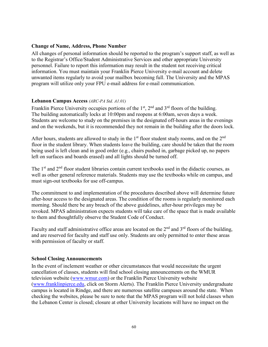#### <span id="page-59-0"></span>**Change of Name, Address, Phone Number**

All changes of personal information should be reported to the program's support staff, as well as to the Registrar's Office/Student Administrative Services and other appropriate University personnel. Failure to report this information may result in the student not receiving critical information. You must maintain your Franklin Pierce University e-mail account and delete unwanted items regularly to avoid your mailbox becoming full. The University and the MPAS program will utilize only your FPU e-mail address for e-mail communication.

#### <span id="page-59-1"></span>**Lebanon Campus Access** *(ARC-PA Std. A1.01)*

Franklin Pierce University occupies portions of the  $1<sup>st</sup>$ ,  $2<sup>nd</sup>$  and  $3<sup>rd</sup>$  floors of the building. The building automatically locks at 10:00pm and reopens at 6:00am, seven days a week. Students are welcome to study on the premises in the designated off-hours areas in the evenings and on the weekends, but it is recommended they not remain in the building after the doors lock.

After hours, students are allowed to study in the  $1<sup>st</sup>$  floor student study rooms, and on the  $2<sup>nd</sup>$ floor in the student library. When students leave the building, care should be taken that the room being used is left clean and in good order (e.g., chairs pushed in, garbage picked up, no papers left on surfaces and boards erased) and all lights should be turned off.

The 1<sup>st</sup> and 2<sup>nd</sup> floor student libraries contain current textbooks used in the didactic courses, as well as other general reference materials. Students may use the textbooks while on campus, and must sign-out textbooks for use off-campus.

The commitment to and implementation of the procedures described above will determine future after-hour access to the designated areas. The condition of the rooms is regularly monitored each morning. Should there be any breach of the above guidelines, after-hour privileges may be revoked. MPAS administration expects students will take care of the space that is made available to them and thoughtfully observe the Student Code of Conduct.

Faculty and staff administrative office areas are located on the 2<sup>nd</sup> and 3<sup>rd</sup> floors of the building, and are reserved for faculty and staff use only. Students are only permitted to enter these areas with permission of faculty or staff.

#### <span id="page-59-2"></span>**School Closing Announcements**

In the event of inclement weather or other circumstances that would necessitate the urgent cancellation of classes, students will find school closing announcements on the WMUR television website [\(www.wmur.com\)](http://www.wmur.com/) or the Franklin Pierce University website [\(www.franklinpierce.edu,](http://www.franklinpierce.edu/) click on Storm Alerts). The Franklin Pierce University undergraduate campus is located in Rindge, and there are numerous satellite campuses around the state. When checking the websites, please be sure to note that the MPAS program will not hold classes when the Lebanon Center is closed; closure at other University locations will have no impact on the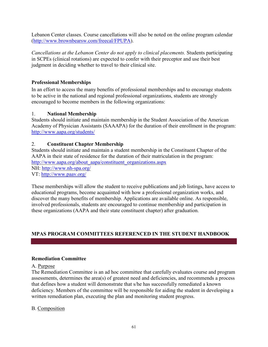Lebanon Center classes. Course cancellations will also be noted on the online program calendar [\(http://www.brownbearsw.com/freecal/FPUPA\)](http://www.brownbearsw.com/freecal/FPUPA).

*Cancellations at the Lebanon Center do not apply to clinical placements.* Students participating in SCPEs (clinical rotations) are expected to confer with their preceptor and use their best judgment in deciding whether to travel to their clinical site.

# <span id="page-60-0"></span>**Professional Memberships**

In an effort to access the many benefits of professional memberships and to encourage students to be active in the national and regional professional organizations, students are strongly encouraged to become members in the following organizations:

# 1. **National Membership**

Students should initiate and maintain membership in the Student Association of the American Academy of Physician Assistants (SAAAPA) for the duration of their enrollment in the program: <http://www.aapa.org/students/>

# 2. **Constituent Chapter Membership**

Students should initiate and maintain a student membership in the Constituent Chapter of the AAPA in their state of residence for the duration of their matriculation in the program: [http://www.aapa.org/about\\_aapa/constituent\\_organizations.aspx](http://www.aapa.org/about_aapa/constituent_organizations.aspx) NH:<http://www.nh-spa.org/> VT:<http://www.paav.org/>

These memberships will allow the student to receive publications and job listings, have access to educational programs, become acquainted with how a professional organization works, and discover the many benefits of membership. Applications are available online. As responsible, involved professionals, students are encouraged to continue membership and participation in these organizations (AAPA and their state constituent chapter) after graduation.

# <span id="page-60-1"></span>**MPAS PROGRAM COMMITTEES REFERENCED IN THE STUDENT HANDBOOK**

# <span id="page-60-2"></span>**Remediation Committee**

# A. Purpose

The Remediation Committee is an ad hoc committee that carefully evaluates course and program assessments, determines the area(s) of greatest need and deficiencies, and recommends a process that defines how a student will demonstrate that s/he has successfully remediated a known deficiency. Members of the committee will be responsible for aiding the student in developing a written remediation plan, executing the plan and monitoring student progress.

# B. Composition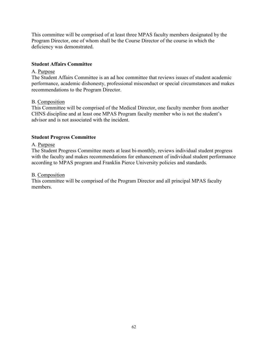This committee will be comprised of at least three MPAS faculty members designated by the Program Director, one of whom shall be the Course Director of the course in which the deficiency was demonstrated.

#### <span id="page-61-0"></span>**Student Affairs Committee**

#### A. Purpose

The Student Affairs Committee is an ad hoc committee that reviews issues of student academic performance, academic dishonesty, professional misconduct or special circumstances and makes recommendations to the Program Director.

#### B. Composition

This Committee will be comprised of the Medical Director, one faculty member from another CHNS discipline and at least one MPAS Program faculty member who is not the student's advisor and is not associated with the incident.

#### <span id="page-61-1"></span>**Student Progress Committee**

#### A. Purpose

The Student Progress Committee meets at least bi-monthly, reviews individual student progress with the faculty and makes recommendations for enhancement of individual student performance according to MPAS program and Franklin Pierce University policies and standards.

#### B. Composition

This committee will be comprised of the Program Director and all principal MPAS faculty members.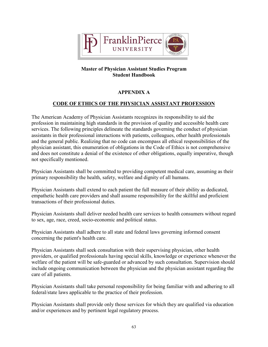

# **APPENDIX A**

# <span id="page-62-0"></span>**CODE OF ETHICS OF THE PHYSICIAN ASSISTANT PROFESSION**

<span id="page-62-1"></span>The American Academy of Physician Assistants recognizes its responsibility to aid the profession in maintaining high standards in the provision of quality and accessible health care services. The following principles delineate the standards governing the conduct of physician assistants in their professional interactions with patients, colleagues, other health professionals and the general public. Realizing that no code can encompass all ethical responsibilities of the physician assistant, this enumeration of obligations in the Code of Ethics is not comprehensive and does not constitute a denial of the existence of other obligations, equally imperative, though not specifically mentioned.

Physician Assistants shall be committed to providing competent medical care, assuming as their primary responsibility the health, safety, welfare and dignity of all humans.

Physician Assistants shall extend to each patient the full measure of their ability as dedicated, empathetic health care providers and shall assume responsibility for the skillful and proficient transactions of their professional duties.

Physician Assistants shall deliver needed health care services to health consumers without regard to sex, age, race, creed, socio-economic and political status.

Physician Assistants shall adhere to all state and federal laws governing informed consent concerning the patient's health care.

Physician Assistants shall seek consultation with their supervising physician, other health providers, or qualified professionals having special skills, knowledge or experience whenever the welfare of the patient will be safe-guarded or advanced by such consultation. Supervision should include ongoing communication between the physician and the physician assistant regarding the care of all patients.

Physician Assistants shall take personal responsibility for being familiar with and adhering to all federal/state laws applicable to the practice of their profession.

Physician Assistants shall provide only those services for which they are qualified via education and/or experiences and by pertinent legal regulatory process.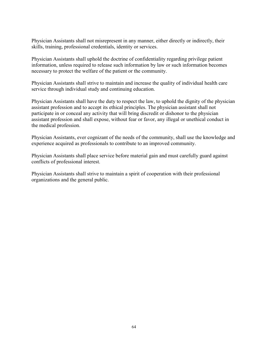Physician Assistants shall not misrepresent in any manner, either directly or indirectly, their skills, training, professional credentials, identity or services.

Physician Assistants shall uphold the doctrine of confidentiality regarding privilege patient information, unless required to release such information by law or such information becomes necessary to protect the welfare of the patient or the community.

Physician Assistants shall strive to maintain and increase the quality of individual health care service through individual study and continuing education.

Physician Assistants shall have the duty to respect the law, to uphold the dignity of the physician assistant profession and to accept its ethical principles. The physician assistant shall not participate in or conceal any activity that will bring discredit or dishonor to the physician assistant profession and shall expose, without fear or favor, any illegal or unethical conduct in the medical profession.

Physician Assistants, ever cognizant of the needs of the community, shall use the knowledge and experience acquired as professionals to contribute to an improved community.

Physician Assistants shall place service before material gain and must carefully guard against conflicts of professional interest.

Physician Assistants shall strive to maintain a spirit of cooperation with their professional organizations and the general public.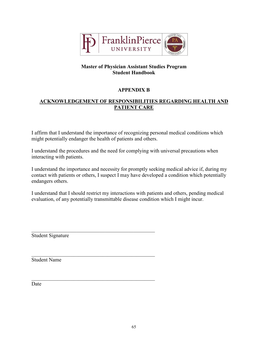

# **APPENDIX B**

# <span id="page-64-1"></span><span id="page-64-0"></span>**ACKNOWLEDGEMENT OF RESPONSIBILITIES REGARDING HEALTH AND PATIENT CARE**

I affirm that I understand the importance of recognizing personal medical conditions which might potentially endanger the health of patients and others.

I understand the procedures and the need for complying with universal precautions when interacting with patients.

I understand the importance and necessity for promptly seeking medical advice if, during my contact with patients or others, I suspect I may have developed a condition which potentially endangers others.

I understand that I should restrict my interactions with patients and others, pending medical evaluation, of any potentially transmittable disease condition which I might incur.

 $\mathcal{L}_\text{max}$  and  $\mathcal{L}_\text{max}$  and  $\mathcal{L}_\text{max}$  and  $\mathcal{L}_\text{max}$  and  $\mathcal{L}_\text{max}$ 

 $\mathcal{L}_\text{max}$  , and the set of the set of the set of the set of the set of the set of the set of the set of the set of the set of the set of the set of the set of the set of the set of the set of the set of the set of the

Student Signature

Student Name

Date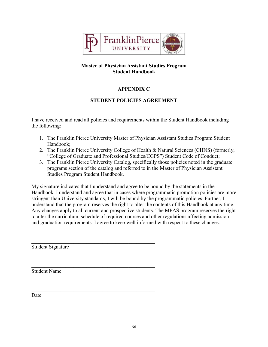

# **APPENDIX C**

# **STUDENT POLICIES AGREEMENT**

<span id="page-65-1"></span><span id="page-65-0"></span>I have received and read all policies and requirements within the Student Handbook including the following:

- 1. The Franklin Pierce University Master of Physician Assistant Studies Program Student Handbook;
- 2. The Franklin Pierce University College of Health & Natural Sciences (CHNS) (formerly, "College of Graduate and Professional Studies/CGPS") Student Code of Conduct;
- 3. The Franklin Pierce University Catalog, specifically those policies noted in the graduate programs section of the catalog and referred to in the Master of Physician Assistant Studies Program Student Handbook.

My signature indicates that I understand and agree to be bound by the statements in the Handbook. I understand and agree that in cases where programmatic promotion policies are more stringent than University standards, I will be bound by the programmatic policies. Further, I understand that the program reserves the right to alter the contents of this Handbook at any time. Any changes apply to all current and prospective students. The MPAS program reserves the right to alter the curriculum, schedule of required courses and other regulations affecting admission and graduation requirements. I agree to keep well informed with respect to these changes.

 $\mathcal{L}_\text{max}$  , and the set of the set of the set of the set of the set of the set of the set of the set of the set of the set of the set of the set of the set of the set of the set of the set of the set of the set of the Student Signature

Student Name

Date

 $\mathcal{L}_\text{max}$  and  $\mathcal{L}_\text{max}$  and  $\mathcal{L}_\text{max}$  and  $\mathcal{L}_\text{max}$  and  $\mathcal{L}_\text{max}$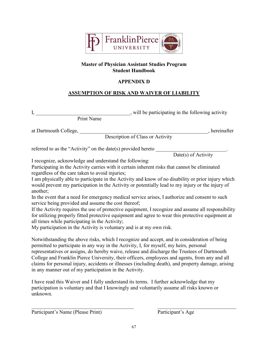

# **APPENDIX D**

# **ASSUMPTION OF RISK AND WAIVER OF LIABILITY**

<span id="page-66-1"></span><span id="page-66-0"></span>I, \_\_\_\_\_\_\_\_\_\_\_\_\_\_\_\_\_\_\_\_\_\_\_\_\_\_\_\_\_\_\_\_\_\_\_\_, will be participating in the following activity Print Name

at Dartmouth College, \_\_\_\_\_\_\_\_\_\_\_\_\_\_\_\_\_\_\_\_\_\_\_\_\_\_\_\_\_\_\_\_\_\_\_\_\_\_\_\_\_\_\_\_\_\_\_\_\_, hereinafter

Description of Class or Activity

referred to as the "Activity" on the date(s) provided hereto  $\blacksquare$ 

Date(s) of Activity

I recognize, acknowledge and understand the following:

Participating in the Activity carries with it certain inherent risks that cannot be eliminated regardless of the care taken to avoid injuries;

I am physically able to participate in the Activity and know of no disability or prior injury which would prevent my participation in the Activity or potentially lead to my injury or the injury of another;

In the event that a need for emergency medical service arises, I authorize and consent to such service being provided and assume the cost thereof;

If the Activity requires the use of protective equipment, I recognize and assume all responsibility for utilizing properly fitted protective equipment and agree to wear this protective equipment at all times while participating in the Activity;

My participation in the Activity is voluntary and is at my own risk.

Notwithstanding the above risks, which I recognize and accept, and in consideration of being permitted to participate in any way in the Activity, I, for myself, my heirs, personal representatives or assigns, do hereby waive, release and discharge the Trustees of Dartmouth College and Franklin Pierce University, their officers, employees and agents, from any and all claims for personal injury, accidents or illnesses (including death), and property damage, arising in any manner out of my participation in the Activity.

I have read this Waiver and I fully understand its terms. I further acknowledge that my participation is voluntary and that I knowingly and voluntarily assume all risks known or unknown.

Participant's Name (Please Print) Participant's Age

 $\_$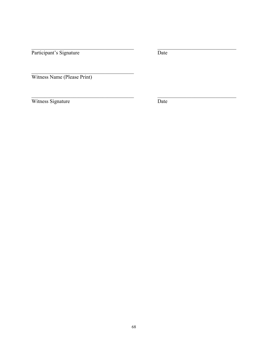Participant's Signature

Date

Witness Name (Please Print)

Witness Signature

 $\overline{Date}$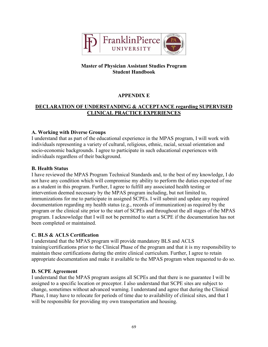

# **APPENDIX E**

# <span id="page-68-1"></span><span id="page-68-0"></span>**DECLARATION OF UNDERSTANDING & ACCEPTANCE regarding SUPERVISED CLINICAL PRACTICE EXPERIENCES**

# **A. Working with Diverse Groups**

I understand that as part of the educational experience in the MPAS program, I will work with individuals representing a variety of cultural, religious, ethnic, racial, sexual orientation and socio-economic backgrounds. I agree to participate in such educational experiences with individuals regardless of their background.

# **B. Health Status**

I have reviewed the MPAS Program Technical Standards and, to the best of my knowledge, I do not have any condition which will compromise my ability to perform the duties expected of me as a student in this program. Further, I agree to fulfill any associated health testing or intervention deemed necessary by the MPAS program including, but not limited to, immunizations for me to participate in assigned SCPEs. I will submit and update any required documentation regarding my health status (e.g., records of immunization) as required by the program or the clinical site prior to the start of SCPEs and throughout the all stages of the MPAS program. I acknowledge that I will not be permitted to start a SCPE if the documentation has not been completed or maintained.

# **C. BLS & ACLS Certification**

I understand that the MPAS program will provide mandatory BLS and ACLS training/certifications prior to the Clinical Phase of the program and that it is my responsibility to maintain these certifications during the entire clinical curriculum. Further, I agree to retain appropriate documentation and make it available to the MPAS program when requested to do so.

# **D. SCPE Agreement**

I understand that the MPAS program assigns all SCPEs and that there is no guarantee I will be assigned to a specific location or preceptor. I also understand that SCPE sites are subject to change, sometimes without advanced warning. I understand and agree that during the Clinical Phase, I may have to relocate for periods of time due to availability of clinical sites, and that I will be responsible for providing my own transportation and housing.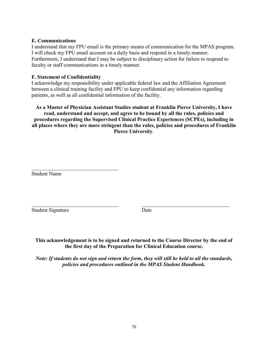#### **E. Communications**

I understand that my FPU email is the primary means of communication for the MPAS program. I will check my FPU email account on a daily basis and respond in a timely manner. Furthermore, I understand that I may be subject to disciplinary action for failure to respond to faculty or staff communications in a timely manner.

#### **F. Statement of Confidentiality**

I acknowledge my responsibility under applicable federal law and the Affiliation Agreement between a clinical training facility and FPU to keep confidential any information regarding patients, as well as all confidential information of the facility.

#### **As a Master of Physician Assistant Studies student at Franklin Pierce University, I have read, understand and accept, and agree to be bound by all the rules, policies and procedures regarding the Supervised Clinical Practice Experiences (SCPEs), including in all places where they are more stringent than the rules, policies and procedures of Franklin Pierce University**.

Student Name

Student Signature Date

**This acknowledgement is to be signed and returned to the Course Director by the end of the first day of the Preparation for Clinical Education course.**

*Note: If students do not sign and return the form, they will still be held to all the standards, policies and procedures outlined in the MPAS Student Handbook.*